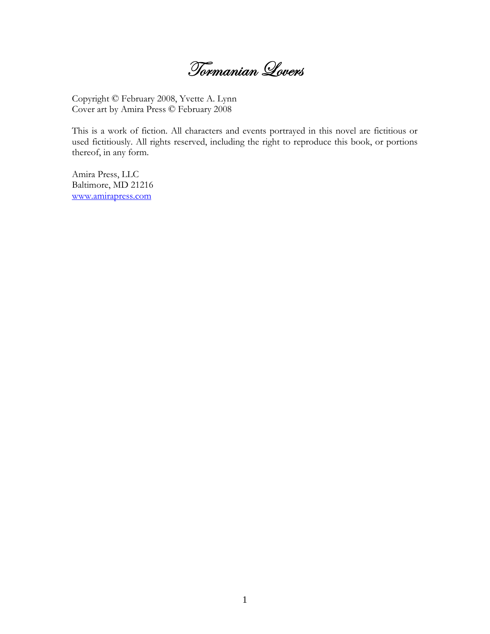Tormanian Lovers

Copyright © February 2008, Yvette A. Lynn Cover art by Amira Press © February 2008

This is a work of fiction. All characters and events portrayed in this novel are fictitious or used fictitiously. All rights reserved, including the right to reproduce this book, or portions thereof, in any form.

Amira Press, LLC Baltimore, MD 21216 www.amirapress.com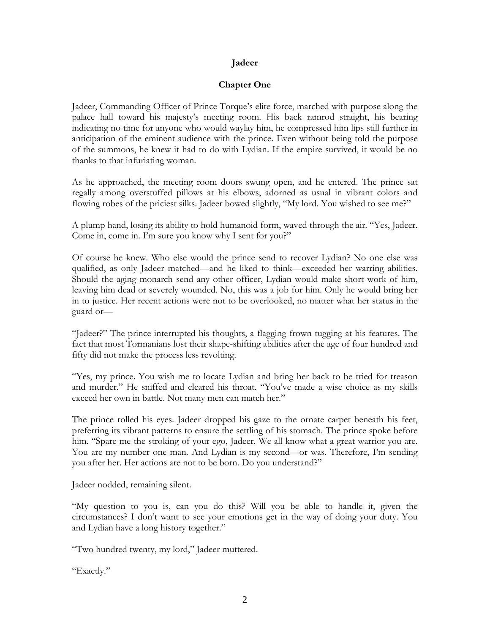## **Jadeer**

## **Chapter One**

Jadeer, Commanding Officer of Prince Torque's elite force, marched with purpose along the palace hall toward his majesty's meeting room. His back ramrod straight, his bearing indicating no time for anyone who would waylay him, he compressed him lips still further in anticipation of the eminent audience with the prince. Even without being told the purpose of the summons, he knew it had to do with Lydian. If the empire survived, it would be no thanks to that infuriating woman.

As he approached, the meeting room doors swung open, and he entered. The prince sat regally among overstuffed pillows at his elbows, adorned as usual in vibrant colors and flowing robes of the priciest silks. Jadeer bowed slightly, "My lord. You wished to see me?"

A plump hand, losing its ability to hold humanoid form, waved through the air. "Yes, Jadeer. Come in, come in. I'm sure you know why I sent for you?"

Of course he knew. Who else would the prince send to recover Lydian? No one else was qualified, as only Jadeer matched—and he liked to think—exceeded her warring abilities. Should the aging monarch send any other officer, Lydian would make short work of him, leaving him dead or severely wounded. No, this was a job for him. Only he would bring her in to justice. Her recent actions were not to be overlooked, no matter what her status in the guard or—

"Jadeer?" The prince interrupted his thoughts, a flagging frown tugging at his features. The fact that most Tormanians lost their shape-shifting abilities after the age of four hundred and fifty did not make the process less revolting.

"Yes, my prince. You wish me to locate Lydian and bring her back to be tried for treason and murder." He sniffed and cleared his throat. "You've made a wise choice as my skills exceed her own in battle. Not many men can match her."

The prince rolled his eyes. Jadeer dropped his gaze to the ornate carpet beneath his feet, preferring its vibrant patterns to ensure the settling of his stomach. The prince spoke before him. "Spare me the stroking of your ego, Jadeer. We all know what a great warrior you are. You are my number one man. And Lydian is my second—or was. Therefore, I'm sending you after her. Her actions are not to be born. Do you understand?"

Jadeer nodded, remaining silent.

"My question to you is, can you do this? Will you be able to handle it, given the circumstances? I don't want to see your emotions get in the way of doing your duty. You and Lydian have a long history together."

"Two hundred twenty, my lord," Jadeer muttered.

"Exactly."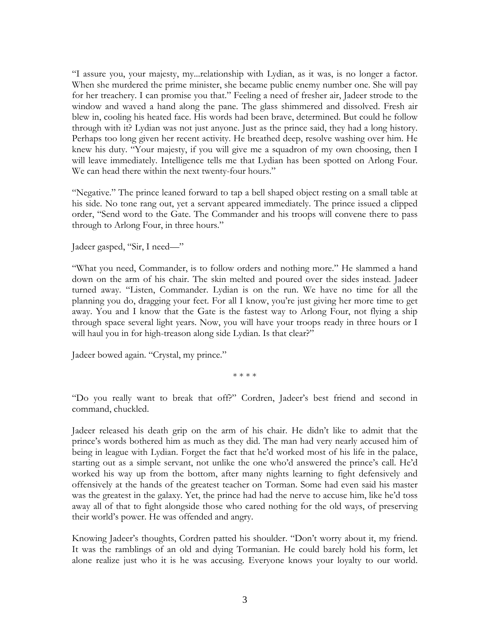"I assure you, your majesty, my...relationship with Lydian, as it was, is no longer a factor. When she murdered the prime minister, she became public enemy number one. She will pay for her treachery. I can promise you that." Feeling a need of fresher air, Jadeer strode to the window and waved a hand along the pane. The glass shimmered and dissolved. Fresh air blew in, cooling his heated face. His words had been brave, determined. But could he follow through with it? Lydian was not just anyone. Just as the prince said, they had a long history. Perhaps too long given her recent activity. He breathed deep, resolve washing over him. He knew his duty. "Your majesty, if you will give me a squadron of my own choosing, then I will leave immediately. Intelligence tells me that Lydian has been spotted on Arlong Four. We can head there within the next twenty-four hours."

"Negative." The prince leaned forward to tap a bell shaped object resting on a small table at his side. No tone rang out, yet a servant appeared immediately. The prince issued a clipped order, "Send word to the Gate. The Commander and his troops will convene there to pass through to Arlong Four, in three hours."

Jadeer gasped, "Sir, I need—"

"What you need, Commander, is to follow orders and nothing more." He slammed a hand down on the arm of his chair. The skin melted and poured over the sides instead. Jadeer turned away. "Listen, Commander. Lydian is on the run. We have no time for all the planning you do, dragging your feet. For all I know, you're just giving her more time to get away. You and I know that the Gate is the fastest way to Arlong Four, not flying a ship through space several light years. Now, you will have your troops ready in three hours or I will haul you in for high-treason along side Lydian. Is that clear?"

Jadeer bowed again. "Crystal, my prince."

\* \* \* \*

"Do you really want to break that off?" Cordren, Jadeer's best friend and second in command, chuckled.

Jadeer released his death grip on the arm of his chair. He didn't like to admit that the prince's words bothered him as much as they did. The man had very nearly accused him of being in league with Lydian. Forget the fact that he'd worked most of his life in the palace, starting out as a simple servant, not unlike the one who'd answered the prince's call. He'd worked his way up from the bottom, after many nights learning to fight defensively and offensively at the hands of the greatest teacher on Torman. Some had even said his master was the greatest in the galaxy. Yet, the prince had had the nerve to accuse him, like he'd toss away all of that to fight alongside those who cared nothing for the old ways, of preserving their world's power. He was offended and angry.

Knowing Jadeer's thoughts, Cordren patted his shoulder. "Don't worry about it, my friend. It was the ramblings of an old and dying Tormanian. He could barely hold his form, let alone realize just who it is he was accusing. Everyone knows your loyalty to our world.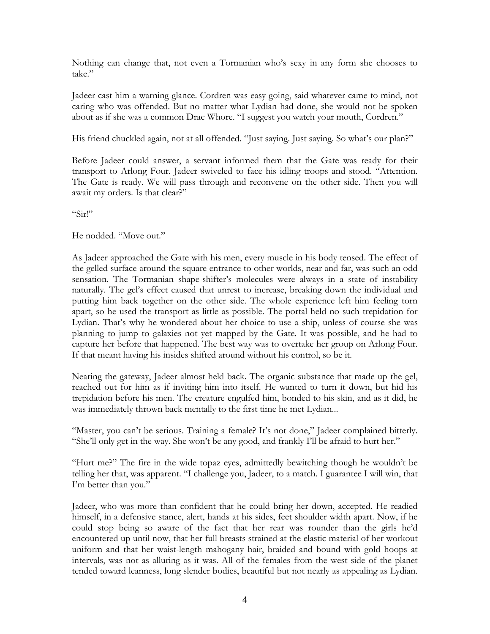Nothing can change that, not even a Tormanian who's sexy in any form she chooses to take."

Jadeer cast him a warning glance. Cordren was easy going, said whatever came to mind, not caring who was offended. But no matter what Lydian had done, she would not be spoken about as if she was a common Drac Whore. "I suggest you watch your mouth, Cordren."

His friend chuckled again, not at all offended. "Just saying. Just saying. So what's our plan?"

Before Jadeer could answer, a servant informed them that the Gate was ready for their transport to Arlong Four. Jadeer swiveled to face his idling troops and stood. "Attention. The Gate is ready. We will pass through and reconvene on the other side. Then you will await my orders. Is that clear?"

"Sir!"

He nodded. "Move out."

As Jadeer approached the Gate with his men, every muscle in his body tensed. The effect of the gelled surface around the square entrance to other worlds, near and far, was such an odd sensation. The Tormanian shape-shifter's molecules were always in a state of instability naturally. The gel's effect caused that unrest to increase, breaking down the individual and putting him back together on the other side. The whole experience left him feeling torn apart, so he used the transport as little as possible. The portal held no such trepidation for Lydian. That's why he wondered about her choice to use a ship, unless of course she was planning to jump to galaxies not yet mapped by the Gate. It was possible, and he had to capture her before that happened. The best way was to overtake her group on Arlong Four. If that meant having his insides shifted around without his control, so be it.

Nearing the gateway, Jadeer almost held back. The organic substance that made up the gel, reached out for him as if inviting him into itself. He wanted to turn it down, but hid his trepidation before his men. The creature engulfed him, bonded to his skin, and as it did, he was immediately thrown back mentally to the first time he met Lydian...

"Master, you can't be serious. Training a female? It's not done," Jadeer complained bitterly. "She'll only get in the way. She won't be any good, and frankly I'll be afraid to hurt her."

"Hurt me?" The fire in the wide topaz eyes, admittedly bewitching though he wouldn't be telling her that, was apparent. "I challenge you, Jadeer, to a match. I guarantee I will win, that I'm better than you."

Jadeer, who was more than confident that he could bring her down, accepted. He readied himself, in a defensive stance, alert, hands at his sides, feet shoulder width apart. Now, if he could stop being so aware of the fact that her rear was rounder than the girls he'd encountered up until now, that her full breasts strained at the elastic material of her workout uniform and that her waist-length mahogany hair, braided and bound with gold hoops at intervals, was not as alluring as it was. All of the females from the west side of the planet tended toward leanness, long slender bodies, beautiful but not nearly as appealing as Lydian.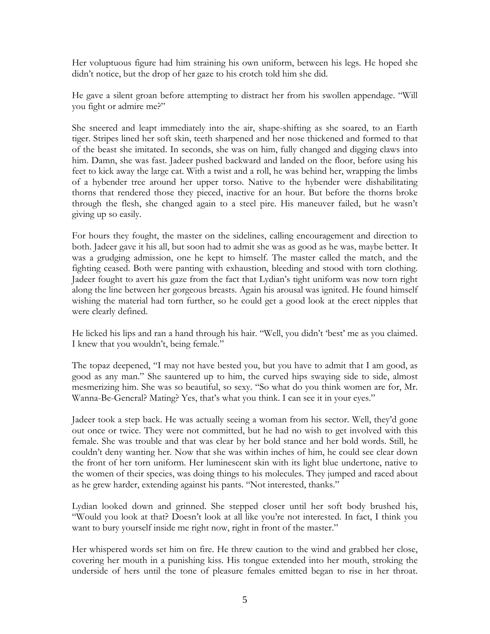Her voluptuous figure had him straining his own uniform, between his legs. He hoped she didn't notice, but the drop of her gaze to his crotch told him she did.

He gave a silent groan before attempting to distract her from his swollen appendage. "Will you fight or admire me?"

She sneered and leapt immediately into the air, shape-shifting as she soared, to an Earth tiger. Stripes lined her soft skin, teeth sharpened and her nose thickened and formed to that of the beast she imitated. In seconds, she was on him, fully changed and digging claws into him. Damn, she was fast. Jadeer pushed backward and landed on the floor, before using his feet to kick away the large cat. With a twist and a roll, he was behind her, wrapping the limbs of a hybender tree around her upper torso. Native to the hybender were dishabilitating thorns that rendered those they pieced, inactive for an hour. But before the thorns broke through the flesh, she changed again to a steel pire. His maneuver failed, but he wasn't giving up so easily.

For hours they fought, the master on the sidelines, calling encouragement and direction to both. Jadeer gave it his all, but soon had to admit she was as good as he was, maybe better. It was a grudging admission, one he kept to himself. The master called the match, and the fighting ceased. Both were panting with exhaustion, bleeding and stood with torn clothing. Jadeer fought to avert his gaze from the fact that Lydian's tight uniform was now torn right along the line between her gorgeous breasts. Again his arousal was ignited. He found himself wishing the material had torn further, so he could get a good look at the erect nipples that were clearly defined.

He licked his lips and ran a hand through his hair. "Well, you didn't 'best' me as you claimed. I knew that you wouldn't, being female."

The topaz deepened, "I may not have bested you, but you have to admit that I am good, as good as any man." She sauntered up to him, the curved hips swaying side to side, almost mesmerizing him. She was so beautiful, so sexy. "So what do you think women are for, Mr. Wanna-Be-General? Mating? Yes, that's what you think. I can see it in your eyes."

Jadeer took a step back. He was actually seeing a woman from his sector. Well, they'd gone out once or twice. They were not committed, but he had no wish to get involved with this female. She was trouble and that was clear by her bold stance and her bold words. Still, he couldn't deny wanting her. Now that she was within inches of him, he could see clear down the front of her torn uniform. Her luminescent skin with its light blue undertone, native to the women of their species, was doing things to his molecules. They jumped and raced about as he grew harder, extending against his pants. "Not interested, thanks."

Lydian looked down and grinned. She stepped closer until her soft body brushed his, "Would you look at that? Doesn't look at all like you're not interested. In fact, I think you want to bury yourself inside me right now, right in front of the master."

Her whispered words set him on fire. He threw caution to the wind and grabbed her close, covering her mouth in a punishing kiss. His tongue extended into her mouth, stroking the underside of hers until the tone of pleasure females emitted began to rise in her throat.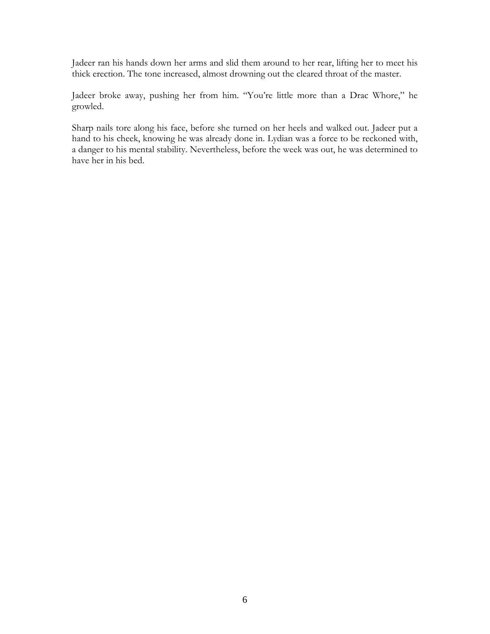Jadeer ran his hands down her arms and slid them around to her rear, lifting her to meet his thick erection. The tone increased, almost drowning out the cleared throat of the master.

Jadeer broke away, pushing her from him. "You're little more than a Drac Whore," he growled.

Sharp nails tore along his face, before she turned on her heels and walked out. Jadeer put a hand to his cheek, knowing he was already done in. Lydian was a force to be reckoned with, a danger to his mental stability. Nevertheless, before the week was out, he was determined to have her in his bed.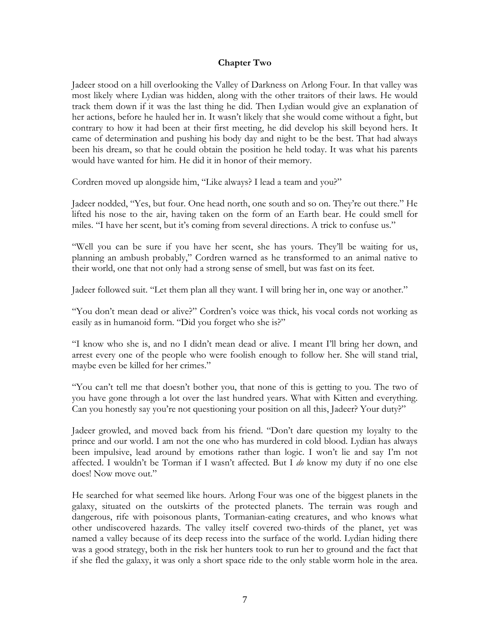#### **Chapter Two**

Jadeer stood on a hill overlooking the Valley of Darkness on Arlong Four. In that valley was most likely where Lydian was hidden, along with the other traitors of their laws. He would track them down if it was the last thing he did. Then Lydian would give an explanation of her actions, before he hauled her in. It wasn't likely that she would come without a fight, but contrary to how it had been at their first meeting, he did develop his skill beyond hers. It came of determination and pushing his body day and night to be the best. That had always been his dream, so that he could obtain the position he held today. It was what his parents would have wanted for him. He did it in honor of their memory.

Cordren moved up alongside him, "Like always? I lead a team and you?"

Jadeer nodded, "Yes, but four. One head north, one south and so on. They're out there." He lifted his nose to the air, having taken on the form of an Earth bear. He could smell for miles. "I have her scent, but it's coming from several directions. A trick to confuse us."

"Well you can be sure if you have her scent, she has yours. They'll be waiting for us, planning an ambush probably," Cordren warned as he transformed to an animal native to their world, one that not only had a strong sense of smell, but was fast on its feet.

Jadeer followed suit. "Let them plan all they want. I will bring her in, one way or another."

"You don't mean dead or alive?" Cordren's voice was thick, his vocal cords not working as easily as in humanoid form. "Did you forget who she is?"

"I know who she is, and no I didn't mean dead or alive. I meant I'll bring her down, and arrest every one of the people who were foolish enough to follow her. She will stand trial, maybe even be killed for her crimes."

"You can't tell me that doesn't bother you, that none of this is getting to you. The two of you have gone through a lot over the last hundred years. What with Kitten and everything. Can you honestly say you're not questioning your position on all this, Jadeer? Your duty?"

Jadeer growled, and moved back from his friend. "Don't dare question my loyalty to the prince and our world. I am not the one who has murdered in cold blood. Lydian has always been impulsive, lead around by emotions rather than logic. I won't lie and say I'm not affected. I wouldn't be Torman if I wasn't affected. But I *do* know my duty if no one else does! Now move out."

He searched for what seemed like hours. Arlong Four was one of the biggest planets in the galaxy, situated on the outskirts of the protected planets. The terrain was rough and dangerous, rife with poisonous plants, Tormanian-eating creatures, and who knows what other undiscovered hazards. The valley itself covered two-thirds of the planet, yet was named a valley because of its deep recess into the surface of the world. Lydian hiding there was a good strategy, both in the risk her hunters took to run her to ground and the fact that if she fled the galaxy, it was only a short space ride to the only stable worm hole in the area.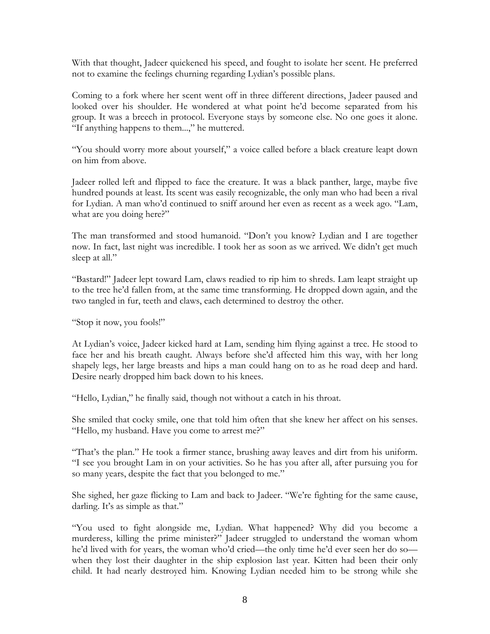With that thought, Jadeer quickened his speed, and fought to isolate her scent. He preferred not to examine the feelings churning regarding Lydian's possible plans.

Coming to a fork where her scent went off in three different directions, Jadeer paused and looked over his shoulder. He wondered at what point he'd become separated from his group. It was a breech in protocol. Everyone stays by someone else. No one goes it alone. "If anything happens to them...," he muttered.

"You should worry more about yourself," a voice called before a black creature leapt down on him from above.

Jadeer rolled left and flipped to face the creature. It was a black panther, large, maybe five hundred pounds at least. Its scent was easily recognizable, the only man who had been a rival for Lydian. A man who'd continued to sniff around her even as recent as a week ago. "Lam, what are you doing here?"

The man transformed and stood humanoid. "Don't you know? Lydian and I are together now. In fact, last night was incredible. I took her as soon as we arrived. We didn't get much sleep at all."

"Bastard!" Jadeer lept toward Lam, claws readied to rip him to shreds. Lam leapt straight up to the tree he'd fallen from, at the same time transforming. He dropped down again, and the two tangled in fur, teeth and claws, each determined to destroy the other.

"Stop it now, you fools!"

At Lydian's voice, Jadeer kicked hard at Lam, sending him flying against a tree. He stood to face her and his breath caught. Always before she'd affected him this way, with her long shapely legs, her large breasts and hips a man could hang on to as he road deep and hard. Desire nearly dropped him back down to his knees.

"Hello, Lydian," he finally said, though not without a catch in his throat.

She smiled that cocky smile, one that told him often that she knew her affect on his senses. "Hello, my husband. Have you come to arrest me?"

"That's the plan." He took a firmer stance, brushing away leaves and dirt from his uniform. "I see you brought Lam in on your activities. So he has you after all, after pursuing you for so many years, despite the fact that you belonged to me."

She sighed, her gaze flicking to Lam and back to Jadeer. "We're fighting for the same cause, darling. It's as simple as that."

"You used to fight alongside me, Lydian. What happened? Why did you become a murderess, killing the prime minister?" Jadeer struggled to understand the woman whom he'd lived with for years, the woman who'd cried—the only time he'd ever seen her do so when they lost their daughter in the ship explosion last year. Kitten had been their only child. It had nearly destroyed him. Knowing Lydian needed him to be strong while she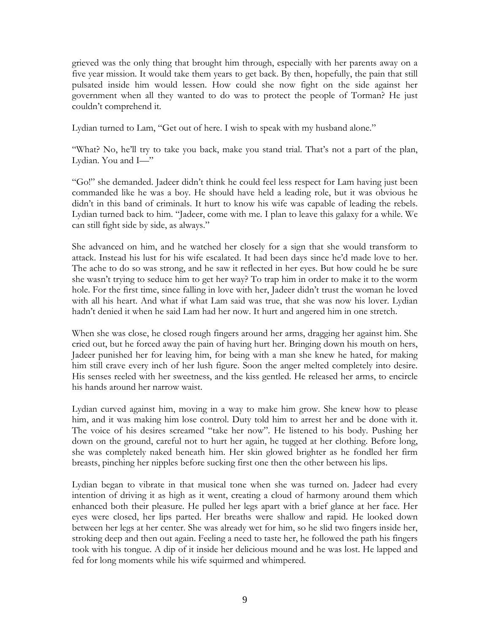grieved was the only thing that brought him through, especially with her parents away on a five year mission. It would take them years to get back. By then, hopefully, the pain that still pulsated inside him would lessen. How could she now fight on the side against her government when all they wanted to do was to protect the people of Torman? He just couldn't comprehend it.

Lydian turned to Lam, "Get out of here. I wish to speak with my husband alone."

"What? No, he'll try to take you back, make you stand trial. That's not a part of the plan, Lydian. You and I—"

"Go!" she demanded. Jadeer didn't think he could feel less respect for Lam having just been commanded like he was a boy. He should have held a leading role, but it was obvious he didn't in this band of criminals. It hurt to know his wife was capable of leading the rebels. Lydian turned back to him. "Jadeer, come with me. I plan to leave this galaxy for a while. We can still fight side by side, as always."

She advanced on him, and he watched her closely for a sign that she would transform to attack. Instead his lust for his wife escalated. It had been days since he'd made love to her. The ache to do so was strong, and he saw it reflected in her eyes. But how could he be sure she wasn't trying to seduce him to get her way? To trap him in order to make it to the worm hole. For the first time, since falling in love with her, Jadeer didn't trust the woman he loved with all his heart. And what if what Lam said was true, that she was now his lover. Lydian hadn't denied it when he said Lam had her now. It hurt and angered him in one stretch.

When she was close, he closed rough fingers around her arms, dragging her against him. She cried out, but he forced away the pain of having hurt her. Bringing down his mouth on hers, Jadeer punished her for leaving him, for being with a man she knew he hated, for making him still crave every inch of her lush figure. Soon the anger melted completely into desire. His senses reeled with her sweetness, and the kiss gentled. He released her arms, to encircle his hands around her narrow waist.

Lydian curved against him, moving in a way to make him grow. She knew how to please him, and it was making him lose control. Duty told him to arrest her and be done with it. The voice of his desires screamed "take her now". He listened to his body. Pushing her down on the ground, careful not to hurt her again, he tugged at her clothing. Before long, she was completely naked beneath him. Her skin glowed brighter as he fondled her firm breasts, pinching her nipples before sucking first one then the other between his lips.

Lydian began to vibrate in that musical tone when she was turned on. Jadeer had every intention of driving it as high as it went, creating a cloud of harmony around them which enhanced both their pleasure. He pulled her legs apart with a brief glance at her face. Her eyes were closed, her lips parted. Her breaths were shallow and rapid. He looked down between her legs at her center. She was already wet for him, so he slid two fingers inside her, stroking deep and then out again. Feeling a need to taste her, he followed the path his fingers took with his tongue. A dip of it inside her delicious mound and he was lost. He lapped and fed for long moments while his wife squirmed and whimpered.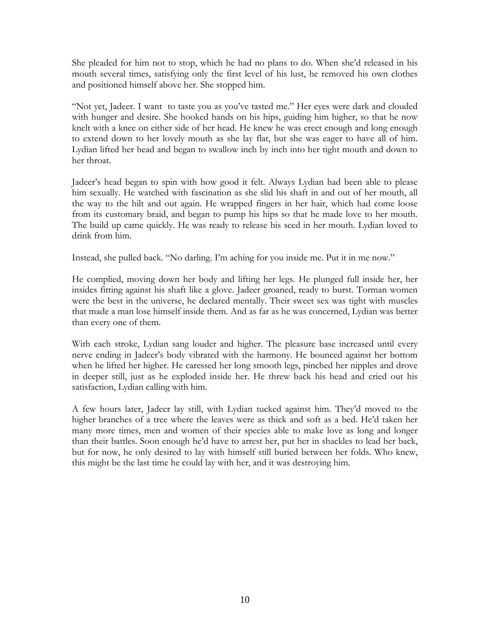She pleaded for him not to stop, which he had no plans to do. When she'd released in his mouth several times, satisfying only the first level of his lust, he removed his own clothes and positioned himself above her. She stopped him.

"Not yet, Jadeer. I want to taste you as you've tasted me." Her eyes were dark and clouded with hunger and desire. She hooked hands on his hips, guiding him higher, so that he now knelt with a knee on either side of her head. He knew he was erect enough and long enough to extend down to her lovely mouth as she lay flat, but she was eager to have all of him. Lydian lifted her head and began to swallow inch by inch into her tight mouth and down to her throat.

Jadeer's head began to spin with how good it felt. Always Lydian had been able to please him sexually. He watched with fascination as she slid his shaft in and out of her mouth, all the way to the hilt and out again. He wrapped fingers in her hair, which had come loose from its customary braid, and began to pump his hips so that he made love to her mouth. The build up came quickly. He was ready to release his seed in her mouth. Lydian loved to drink from him.

Instead, she pulled back. "No darling. I'm aching for you inside me. Put it in me now."

He complied, moving down her body and lifting her legs. He plunged full inside her, her insides fitting against his shaft like a glove. Jadeer groaned, ready to burst. Torman women were the best in the universe, he declared mentally. Their sweet sex was tight with muscles that made a man lose himself inside them. And as far as he was concerned, Lydian was better than every one of them.

With each stroke, Lydian sang louder and higher. The pleasure base increased until every nerve ending in Jadeer's body vibrated with the harmony. He bounced against her bottom when he lifted her higher. He caressed her long smooth legs, pinched her nipples and drove in deeper still, just as he exploded inside her. He threw back his head and cried out his satisfaction, Lydian calling with him.

A few hours later, Jadeer lay still, with Lydian tucked against him. They'd moved to the higher branches of a tree where the leaves were as thick and soft as a bed. He'd taken her many more times, men and women of their species able to make love as long and longer than their battles. Soon enough he'd have to arrest her, put her in shackles to lead her back, but for now, he only desired to lay with himself still buried between her folds. Who knew, this might be the last time he could lay with her, and it was destroying him.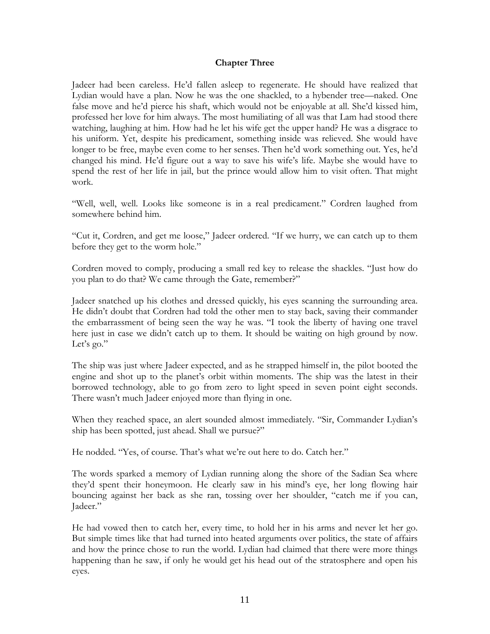### **Chapter Three**

Jadeer had been careless. He'd fallen asleep to regenerate. He should have realized that Lydian would have a plan. Now he was the one shackled, to a hybender tree—naked. One false move and he'd pierce his shaft, which would not be enjoyable at all. She'd kissed him, professed her love for him always. The most humiliating of all was that Lam had stood there watching, laughing at him. How had he let his wife get the upper hand? He was a disgrace to his uniform. Yet, despite his predicament, something inside was relieved. She would have longer to be free, maybe even come to her senses. Then he'd work something out. Yes, he'd changed his mind. He'd figure out a way to save his wife's life. Maybe she would have to spend the rest of her life in jail, but the prince would allow him to visit often. That might work.

"Well, well, well. Looks like someone is in a real predicament." Cordren laughed from somewhere behind him.

"Cut it, Cordren, and get me loose," Jadeer ordered. "If we hurry, we can catch up to them before they get to the worm hole."

Cordren moved to comply, producing a small red key to release the shackles. "Just how do you plan to do that? We came through the Gate, remember?"

Jadeer snatched up his clothes and dressed quickly, his eyes scanning the surrounding area. He didn't doubt that Cordren had told the other men to stay back, saving their commander the embarrassment of being seen the way he was. "I took the liberty of having one travel here just in case we didn't catch up to them. It should be waiting on high ground by now. Let's go."

The ship was just where Jadeer expected, and as he strapped himself in, the pilot booted the engine and shot up to the planet's orbit within moments. The ship was the latest in their borrowed technology, able to go from zero to light speed in seven point eight seconds. There wasn't much Jadeer enjoyed more than flying in one.

When they reached space, an alert sounded almost immediately. "Sir, Commander Lydian's ship has been spotted, just ahead. Shall we pursue?"

He nodded. "Yes, of course. That's what we're out here to do. Catch her."

The words sparked a memory of Lydian running along the shore of the Sadian Sea where they'd spent their honeymoon. He clearly saw in his mind's eye, her long flowing hair bouncing against her back as she ran, tossing over her shoulder, "catch me if you can, Jadeer."

He had vowed then to catch her, every time, to hold her in his arms and never let her go. But simple times like that had turned into heated arguments over politics, the state of affairs and how the prince chose to run the world. Lydian had claimed that there were more things happening than he saw, if only he would get his head out of the stratosphere and open his eyes.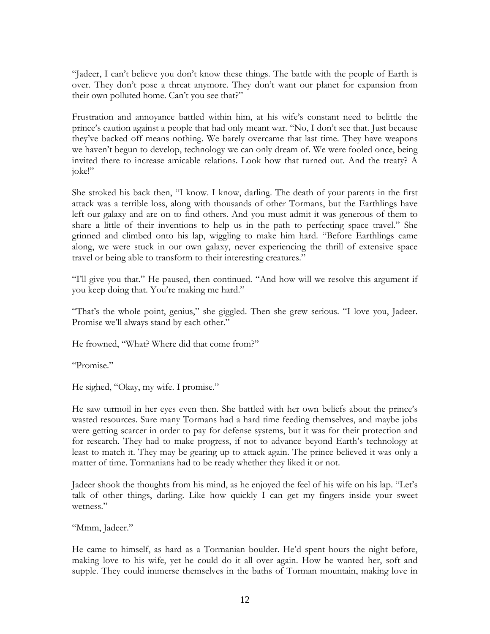"Jadeer, I can't believe you don't know these things. The battle with the people of Earth is over. They don't pose a threat anymore. They don't want our planet for expansion from their own polluted home. Can't you see that?"

Frustration and annoyance battled within him, at his wife's constant need to belittle the prince's caution against a people that had only meant war. "No, I don't see that. Just because they've backed off means nothing. We barely overcame that last time. They have weapons we haven't begun to develop, technology we can only dream of. We were fooled once, being invited there to increase amicable relations. Look how that turned out. And the treaty? A joke!"

She stroked his back then, "I know. I know, darling. The death of your parents in the first attack was a terrible loss, along with thousands of other Tormans, but the Earthlings have left our galaxy and are on to find others. And you must admit it was generous of them to share a little of their inventions to help us in the path to perfecting space travel." She grinned and climbed onto his lap, wiggling to make him hard. "Before Earthlings came along, we were stuck in our own galaxy, never experiencing the thrill of extensive space travel or being able to transform to their interesting creatures."

"I'll give you that." He paused, then continued. "And how will we resolve this argument if you keep doing that. You're making me hard."

"That's the whole point, genius," she giggled. Then she grew serious. "I love you, Jadeer. Promise we'll always stand by each other."

He frowned, "What? Where did that come from?"

"Promise."

He sighed, "Okay, my wife. I promise."

He saw turmoil in her eyes even then. She battled with her own beliefs about the prince's wasted resources. Sure many Tormans had a hard time feeding themselves, and maybe jobs were getting scarcer in order to pay for defense systems, but it was for their protection and for research. They had to make progress, if not to advance beyond Earth's technology at least to match it. They may be gearing up to attack again. The prince believed it was only a matter of time. Tormanians had to be ready whether they liked it or not.

Jadeer shook the thoughts from his mind, as he enjoyed the feel of his wife on his lap. "Let's talk of other things, darling. Like how quickly I can get my fingers inside your sweet wetness."

"Mmm, Jadeer."

He came to himself, as hard as a Tormanian boulder. He'd spent hours the night before, making love to his wife, yet he could do it all over again. How he wanted her, soft and supple. They could immerse themselves in the baths of Torman mountain, making love in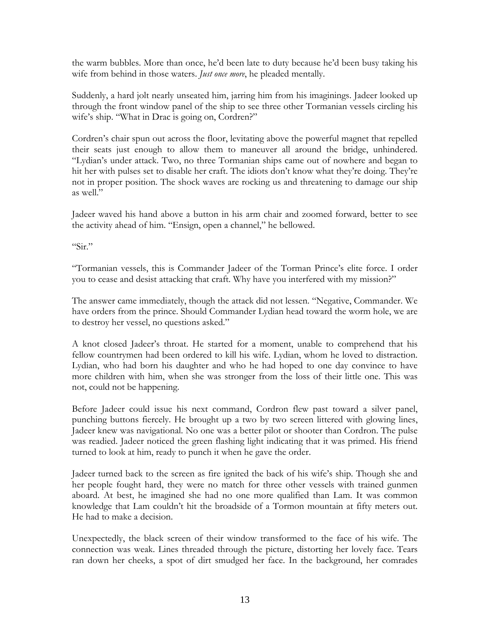the warm bubbles. More than once, he'd been late to duty because he'd been busy taking his wife from behind in those waters. *Just once more*, he pleaded mentally.

Suddenly, a hard jolt nearly unseated him, jarring him from his imaginings. Jadeer looked up through the front window panel of the ship to see three other Tormanian vessels circling his wife's ship. "What in Drac is going on, Cordren?"

Cordren's chair spun out across the floor, levitating above the powerful magnet that repelled their seats just enough to allow them to maneuver all around the bridge, unhindered. "Lydian's under attack. Two, no three Tormanian ships came out of nowhere and began to hit her with pulses set to disable her craft. The idiots don't know what they're doing. They're not in proper position. The shock waves are rocking us and threatening to damage our ship as well."

Jadeer waved his hand above a button in his arm chair and zoomed forward, better to see the activity ahead of him. "Ensign, open a channel," he bellowed.

"Sir."

"Tormanian vessels, this is Commander Jadeer of the Torman Prince's elite force. I order you to cease and desist attacking that craft. Why have you interfered with my mission?"

The answer came immediately, though the attack did not lessen. "Negative, Commander. We have orders from the prince. Should Commander Lydian head toward the worm hole, we are to destroy her vessel, no questions asked."

A knot closed Jadeer's throat. He started for a moment, unable to comprehend that his fellow countrymen had been ordered to kill his wife. Lydian, whom he loved to distraction. Lydian, who had born his daughter and who he had hoped to one day convince to have more children with him, when she was stronger from the loss of their little one. This was not, could not be happening.

Before Jadeer could issue his next command, Cordron flew past toward a silver panel, punching buttons fiercely. He brought up a two by two screen littered with glowing lines, Jadeer knew was navigational. No one was a better pilot or shooter than Cordron. The pulse was readied. Jadeer noticed the green flashing light indicating that it was primed. His friend turned to look at him, ready to punch it when he gave the order.

Jadeer turned back to the screen as fire ignited the back of his wife's ship. Though she and her people fought hard, they were no match for three other vessels with trained gunmen aboard. At best, he imagined she had no one more qualified than Lam. It was common knowledge that Lam couldn't hit the broadside of a Tormon mountain at fifty meters out. He had to make a decision.

Unexpectedly, the black screen of their window transformed to the face of his wife. The connection was weak. Lines threaded through the picture, distorting her lovely face. Tears ran down her cheeks, a spot of dirt smudged her face. In the background, her comrades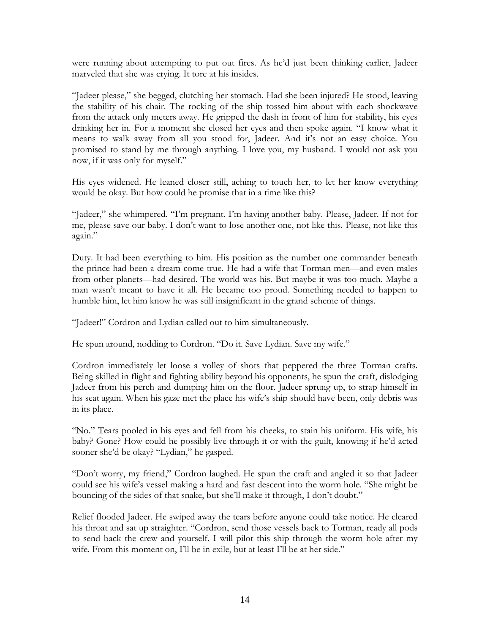were running about attempting to put out fires. As he'd just been thinking earlier, Jadeer marveled that she was crying. It tore at his insides.

"Jadeer please," she begged, clutching her stomach. Had she been injured? He stood, leaving the stability of his chair. The rocking of the ship tossed him about with each shockwave from the attack only meters away. He gripped the dash in front of him for stability, his eyes drinking her in. For a moment she closed her eyes and then spoke again. "I know what it means to walk away from all you stood for, Jadeer. And it's not an easy choice. You promised to stand by me through anything. I love you, my husband. I would not ask you now, if it was only for myself."

His eyes widened. He leaned closer still, aching to touch her, to let her know everything would be okay. But how could he promise that in a time like this?

"Jadeer," she whimpered. "I'm pregnant. I'm having another baby. Please, Jadeer. If not for me, please save our baby. I don't want to lose another one, not like this. Please, not like this again."

Duty. It had been everything to him. His position as the number one commander beneath the prince had been a dream come true. He had a wife that Torman men—and even males from other planets—had desired. The world was his. But maybe it was too much. Maybe a man wasn't meant to have it all. He became too proud. Something needed to happen to humble him, let him know he was still insignificant in the grand scheme of things.

"Jadeer!" Cordron and Lydian called out to him simultaneously.

He spun around, nodding to Cordron. "Do it. Save Lydian. Save my wife."

Cordron immediately let loose a volley of shots that peppered the three Torman crafts. Being skilled in flight and fighting ability beyond his opponents, he spun the craft, dislodging Jadeer from his perch and dumping him on the floor. Jadeer sprung up, to strap himself in his seat again. When his gaze met the place his wife's ship should have been, only debris was in its place.

"No." Tears pooled in his eyes and fell from his cheeks, to stain his uniform. His wife, his baby? Gone? How could he possibly live through it or with the guilt, knowing if he'd acted sooner she'd be okay? "Lydian," he gasped.

"Don't worry, my friend," Cordron laughed. He spun the craft and angled it so that Jadeer could see his wife's vessel making a hard and fast descent into the worm hole. "She might be bouncing of the sides of that snake, but she'll make it through, I don't doubt."

Relief flooded Jadeer. He swiped away the tears before anyone could take notice. He cleared his throat and sat up straighter. "Cordron, send those vessels back to Torman, ready all pods to send back the crew and yourself. I will pilot this ship through the worm hole after my wife. From this moment on, I'll be in exile, but at least I'll be at her side."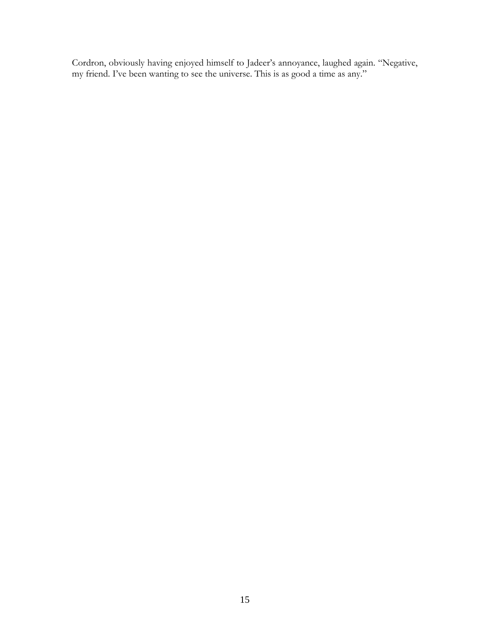Cordron, obviously having enjoyed himself to Jadeer's annoyance, laughed again. "Negative, my friend. I've been wanting to see the universe. This is as good a time as any."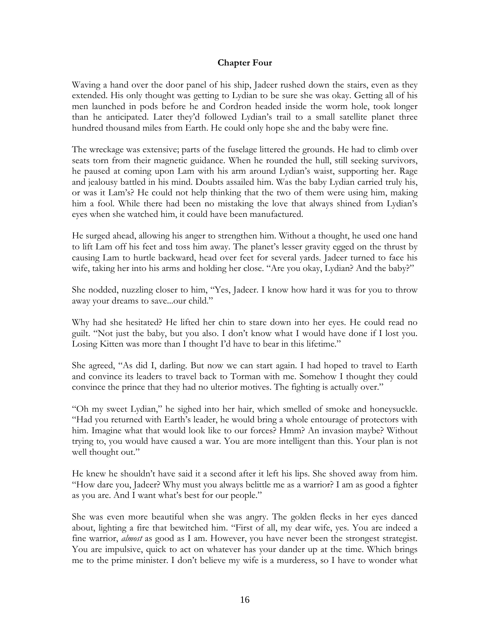### **Chapter Four**

Waving a hand over the door panel of his ship, Jadeer rushed down the stairs, even as they extended. His only thought was getting to Lydian to be sure she was okay. Getting all of his men launched in pods before he and Cordron headed inside the worm hole, took longer than he anticipated. Later they'd followed Lydian's trail to a small satellite planet three hundred thousand miles from Earth. He could only hope she and the baby were fine.

The wreckage was extensive; parts of the fuselage littered the grounds. He had to climb over seats torn from their magnetic guidance. When he rounded the hull, still seeking survivors, he paused at coming upon Lam with his arm around Lydian's waist, supporting her. Rage and jealousy battled in his mind. Doubts assailed him. Was the baby Lydian carried truly his, or was it Lam's? He could not help thinking that the two of them were using him, making him a fool. While there had been no mistaking the love that always shined from Lydian's eyes when she watched him, it could have been manufactured.

He surged ahead, allowing his anger to strengthen him. Without a thought, he used one hand to lift Lam off his feet and toss him away. The planet's lesser gravity egged on the thrust by causing Lam to hurtle backward, head over feet for several yards. Jadeer turned to face his wife, taking her into his arms and holding her close. "Are you okay, Lydian? And the baby?"

She nodded, nuzzling closer to him, "Yes, Jadeer. I know how hard it was for you to throw away your dreams to save...our child."

Why had she hesitated? He lifted her chin to stare down into her eyes. He could read no guilt. "Not just the baby, but you also. I don't know what I would have done if I lost you. Losing Kitten was more than I thought I'd have to bear in this lifetime."

She agreed, "As did I, darling. But now we can start again. I had hoped to travel to Earth and convince its leaders to travel back to Torman with me. Somehow I thought they could convince the prince that they had no ulterior motives. The fighting is actually over."

"Oh my sweet Lydian," he sighed into her hair, which smelled of smoke and honeysuckle. "Had you returned with Earth's leader, he would bring a whole entourage of protectors with him. Imagine what that would look like to our forces? Hmm? An invasion maybe? Without trying to, you would have caused a war. You are more intelligent than this. Your plan is not well thought out."

He knew he shouldn't have said it a second after it left his lips. She shoved away from him. "How dare you, Jadeer? Why must you always belittle me as a warrior? I am as good a fighter as you are. And I want what's best for our people."

She was even more beautiful when she was angry. The golden flecks in her eyes danced about, lighting a fire that bewitched him. "First of all, my dear wife, yes. You are indeed a fine warrior, *almost* as good as I am. However, you have never been the strongest strategist. You are impulsive, quick to act on whatever has your dander up at the time. Which brings me to the prime minister. I don't believe my wife is a murderess, so I have to wonder what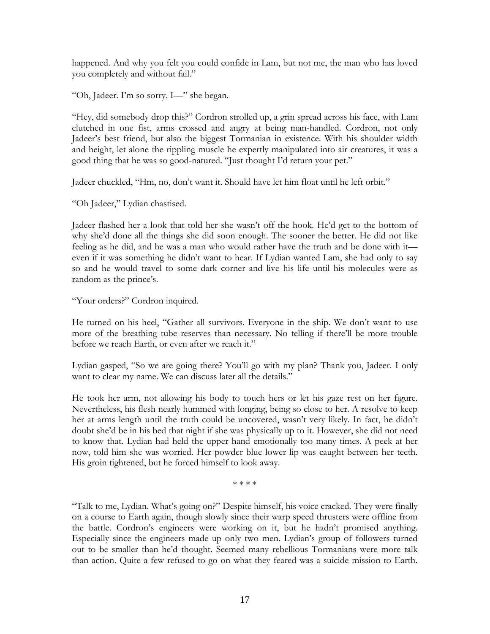happened. And why you felt you could confide in Lam, but not me, the man who has loved you completely and without fail."

"Oh, Jadeer. I'm so sorry. I—" she began.

"Hey, did somebody drop this?" Cordron strolled up, a grin spread across his face, with Lam clutched in one fist, arms crossed and angry at being man-handled. Cordron, not only Jadeer's best friend, but also the biggest Tormanian in existence. With his shoulder width and height, let alone the rippling muscle he expertly manipulated into air creatures, it was a good thing that he was so good-natured. "Just thought I'd return your pet."

Jadeer chuckled, "Hm, no, don't want it. Should have let him float until he left orbit."

"Oh Jadeer," Lydian chastised.

Jadeer flashed her a look that told her she wasn't off the hook. He'd get to the bottom of why she'd done all the things she did soon enough. The sooner the better. He did not like feeling as he did, and he was a man who would rather have the truth and be done with it even if it was something he didn't want to hear. If Lydian wanted Lam, she had only to say so and he would travel to some dark corner and live his life until his molecules were as random as the prince's.

"Your orders?" Cordron inquired.

He turned on his heel, "Gather all survivors. Everyone in the ship. We don't want to use more of the breathing tube reserves than necessary. No telling if there'll be more trouble before we reach Earth, or even after we reach it."

Lydian gasped, "So we are going there? You'll go with my plan? Thank you, Jadeer. I only want to clear my name. We can discuss later all the details."

He took her arm, not allowing his body to touch hers or let his gaze rest on her figure. Nevertheless, his flesh nearly hummed with longing, being so close to her. A resolve to keep her at arms length until the truth could be uncovered, wasn't very likely. In fact, he didn't doubt she'd be in his bed that night if she was physically up to it. However, she did not need to know that. Lydian had held the upper hand emotionally too many times. A peek at her now, told him she was worried. Her powder blue lower lip was caught between her teeth. His groin tightened, but he forced himself to look away.

\* \* \* \*

"Talk to me, Lydian. What's going on?" Despite himself, his voice cracked. They were finally on a course to Earth again, though slowly since their warp speed thrusters were offline from the battle. Cordron's engineers were working on it, but he hadn't promised anything. Especially since the engineers made up only two men. Lydian's group of followers turned out to be smaller than he'd thought. Seemed many rebellious Tormanians were more talk than action. Quite a few refused to go on what they feared was a suicide mission to Earth.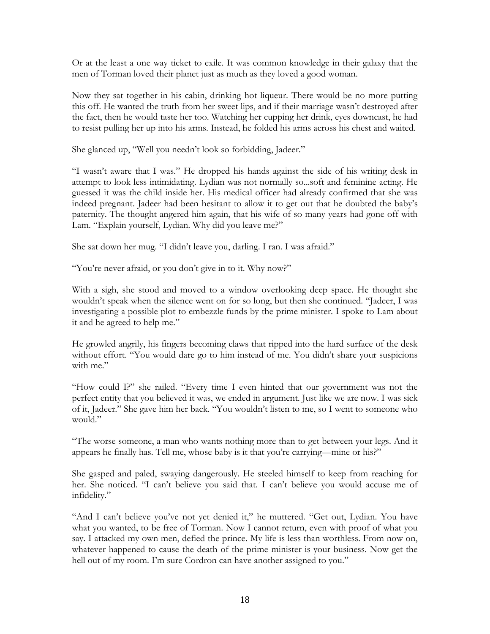Or at the least a one way ticket to exile. It was common knowledge in their galaxy that the men of Torman loved their planet just as much as they loved a good woman.

Now they sat together in his cabin, drinking hot liqueur. There would be no more putting this off. He wanted the truth from her sweet lips, and if their marriage wasn't destroyed after the fact, then he would taste her too. Watching her cupping her drink, eyes downcast, he had to resist pulling her up into his arms. Instead, he folded his arms across his chest and waited.

She glanced up, "Well you needn't look so forbidding, Jadeer."

"I wasn't aware that I was." He dropped his hands against the side of his writing desk in attempt to look less intimidating. Lydian was not normally so...soft and feminine acting. He guessed it was the child inside her. His medical officer had already confirmed that she was indeed pregnant. Jadeer had been hesitant to allow it to get out that he doubted the baby's paternity. The thought angered him again, that his wife of so many years had gone off with Lam. "Explain yourself, Lydian. Why did you leave me?"

She sat down her mug. "I didn't leave you, darling. I ran. I was afraid."

"You're never afraid, or you don't give in to it. Why now?"

With a sigh, she stood and moved to a window overlooking deep space. He thought she wouldn't speak when the silence went on for so long, but then she continued. "Jadeer, I was investigating a possible plot to embezzle funds by the prime minister. I spoke to Lam about it and he agreed to help me."

He growled angrily, his fingers becoming claws that ripped into the hard surface of the desk without effort. "You would dare go to him instead of me. You didn't share your suspicions with me."

"How could I?" she railed. "Every time I even hinted that our government was not the perfect entity that you believed it was, we ended in argument. Just like we are now. I was sick of it, Jadeer." She gave him her back. "You wouldn't listen to me, so I went to someone who would."

"The worse someone, a man who wants nothing more than to get between your legs. And it appears he finally has. Tell me, whose baby is it that you're carrying—mine or his?"

She gasped and paled, swaying dangerously. He steeled himself to keep from reaching for her. She noticed. "I can't believe you said that. I can't believe you would accuse me of infidelity."

"And I can't believe you've not yet denied it," he muttered. "Get out, Lydian. You have what you wanted, to be free of Torman. Now I cannot return, even with proof of what you say. I attacked my own men, defied the prince. My life is less than worthless. From now on, whatever happened to cause the death of the prime minister is your business. Now get the hell out of my room. I'm sure Cordron can have another assigned to you."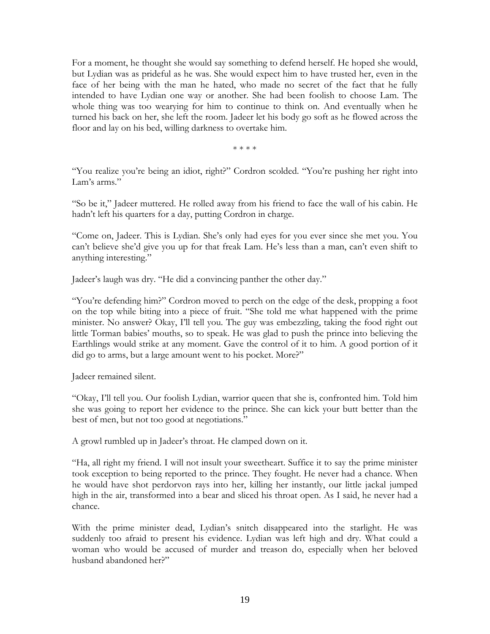For a moment, he thought she would say something to defend herself. He hoped she would, but Lydian was as prideful as he was. She would expect him to have trusted her, even in the face of her being with the man he hated, who made no secret of the fact that he fully intended to have Lydian one way or another. She had been foolish to choose Lam. The whole thing was too wearying for him to continue to think on. And eventually when he turned his back on her, she left the room. Jadeer let his body go soft as he flowed across the floor and lay on his bed, willing darkness to overtake him.

\* \* \* \*

"You realize you're being an idiot, right?" Cordron scolded. "You're pushing her right into Lam's arms."

"So be it," Jadeer muttered. He rolled away from his friend to face the wall of his cabin. He hadn't left his quarters for a day, putting Cordron in charge.

"Come on, Jadeer. This is Lydian. She's only had eyes for you ever since she met you. You can't believe she'd give you up for that freak Lam. He's less than a man, can't even shift to anything interesting."

Jadeer's laugh was dry. "He did a convincing panther the other day."

"You're defending him?" Cordron moved to perch on the edge of the desk, propping a foot on the top while biting into a piece of fruit. "She told me what happened with the prime minister. No answer? Okay, I'll tell you. The guy was embezzling, taking the food right out little Torman babies' mouths, so to speak. He was glad to push the prince into believing the Earthlings would strike at any moment. Gave the control of it to him. A good portion of it did go to arms, but a large amount went to his pocket. More?"

Jadeer remained silent.

"Okay, I'll tell you. Our foolish Lydian, warrior queen that she is, confronted him. Told him she was going to report her evidence to the prince. She can kick your butt better than the best of men, but not too good at negotiations."

A growl rumbled up in Jadeer's throat. He clamped down on it.

"Ha, all right my friend. I will not insult your sweetheart. Suffice it to say the prime minister took exception to being reported to the prince. They fought. He never had a chance. When he would have shot perdorvon rays into her, killing her instantly, our little jackal jumped high in the air, transformed into a bear and sliced his throat open. As I said, he never had a chance.

With the prime minister dead, Lydian's snitch disappeared into the starlight. He was suddenly too afraid to present his evidence. Lydian was left high and dry. What could a woman who would be accused of murder and treason do, especially when her beloved husband abandoned her?"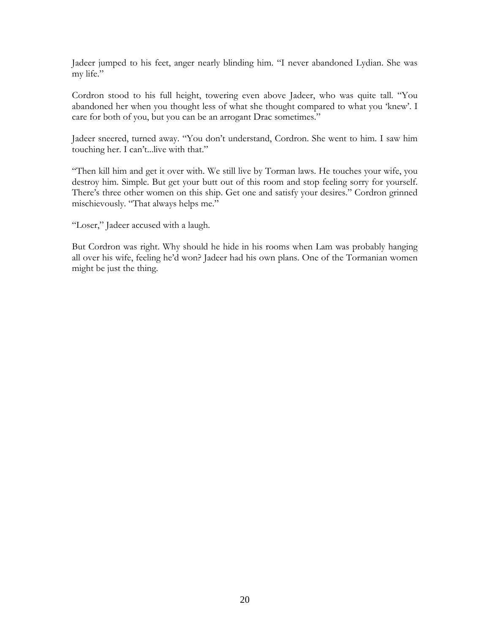Jadeer jumped to his feet, anger nearly blinding him. "I never abandoned Lydian. She was my life."

Cordron stood to his full height, towering even above Jadeer, who was quite tall. "You abandoned her when you thought less of what she thought compared to what you 'knew'. I care for both of you, but you can be an arrogant Drac sometimes."

Jadeer sneered, turned away. "You don't understand, Cordron. She went to him. I saw him touching her. I can't...live with that."

"Then kill him and get it over with. We still live by Torman laws. He touches your wife, you destroy him. Simple. But get your butt out of this room and stop feeling sorry for yourself. There's three other women on this ship. Get one and satisfy your desires." Cordron grinned mischievously. "That always helps me."

"Loser," Jadeer accused with a laugh.

But Cordron was right. Why should he hide in his rooms when Lam was probably hanging all over his wife, feeling he'd won? Jadeer had his own plans. One of the Tormanian women might be just the thing.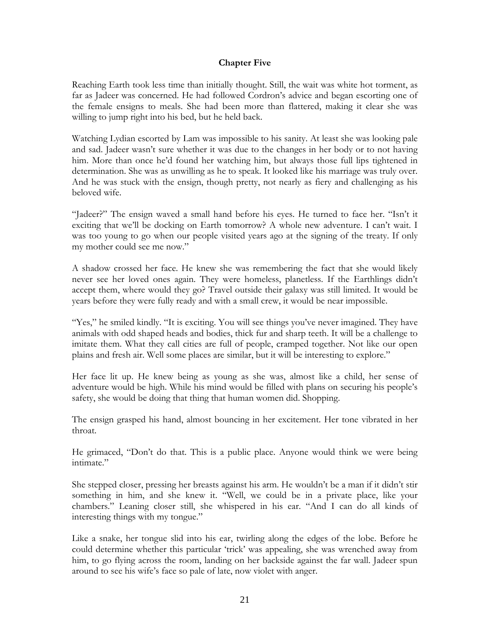#### **Chapter Five**

Reaching Earth took less time than initially thought. Still, the wait was white hot torment, as far as Jadeer was concerned. He had followed Cordron's advice and began escorting one of the female ensigns to meals. She had been more than flattered, making it clear she was willing to jump right into his bed, but he held back.

Watching Lydian escorted by Lam was impossible to his sanity. At least she was looking pale and sad. Jadeer wasn't sure whether it was due to the changes in her body or to not having him. More than once he'd found her watching him, but always those full lips tightened in determination. She was as unwilling as he to speak. It looked like his marriage was truly over. And he was stuck with the ensign, though pretty, not nearly as fiery and challenging as his beloved wife.

"Jadeer?" The ensign waved a small hand before his eyes. He turned to face her. "Isn't it exciting that we'll be docking on Earth tomorrow? A whole new adventure. I can't wait. I was too young to go when our people visited years ago at the signing of the treaty. If only my mother could see me now."

A shadow crossed her face. He knew she was remembering the fact that she would likely never see her loved ones again. They were homeless, planetless. If the Earthlings didn't accept them, where would they go? Travel outside their galaxy was still limited. It would be years before they were fully ready and with a small crew, it would be near impossible.

"Yes," he smiled kindly. "It is exciting. You will see things you've never imagined. They have animals with odd shaped heads and bodies, thick fur and sharp teeth. It will be a challenge to imitate them. What they call cities are full of people, cramped together. Not like our open plains and fresh air. Well some places are similar, but it will be interesting to explore."

Her face lit up. He knew being as young as she was, almost like a child, her sense of adventure would be high. While his mind would be filled with plans on securing his people's safety, she would be doing that thing that human women did. Shopping.

The ensign grasped his hand, almost bouncing in her excitement. Her tone vibrated in her throat.

He grimaced, "Don't do that. This is a public place. Anyone would think we were being intimate."

She stepped closer, pressing her breasts against his arm. He wouldn't be a man if it didn't stir something in him, and she knew it. "Well, we could be in a private place, like your chambers." Leaning closer still, she whispered in his ear. "And I can do all kinds of interesting things with my tongue."

Like a snake, her tongue slid into his ear, twirling along the edges of the lobe. Before he could determine whether this particular 'trick' was appealing, she was wrenched away from him, to go flying across the room, landing on her backside against the far wall. Jadeer spun around to see his wife's face so pale of late, now violet with anger.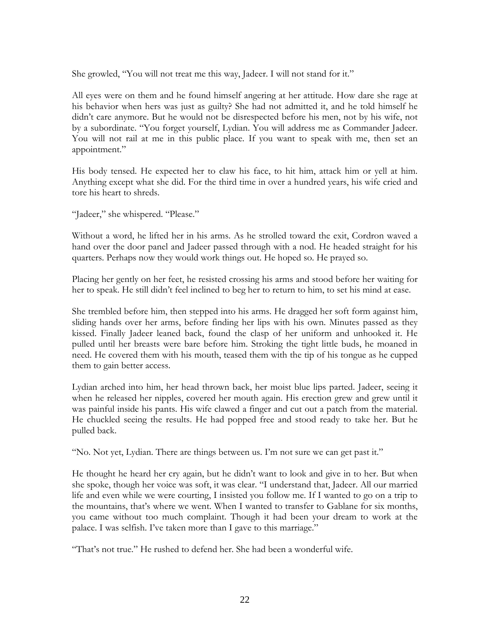She growled, "You will not treat me this way, Jadeer. I will not stand for it."

All eyes were on them and he found himself angering at her attitude. How dare she rage at his behavior when hers was just as guilty? She had not admitted it, and he told himself he didn't care anymore. But he would not be disrespected before his men, not by his wife, not by a subordinate. "You forget yourself, Lydian. You will address me as Commander Jadeer. You will not rail at me in this public place. If you want to speak with me, then set an appointment."

His body tensed. He expected her to claw his face, to hit him, attack him or yell at him. Anything except what she did. For the third time in over a hundred years, his wife cried and tore his heart to shreds.

"Jadeer," she whispered. "Please."

Without a word, he lifted her in his arms. As he strolled toward the exit, Cordron waved a hand over the door panel and Jadeer passed through with a nod. He headed straight for his quarters. Perhaps now they would work things out. He hoped so. He prayed so.

Placing her gently on her feet, he resisted crossing his arms and stood before her waiting for her to speak. He still didn't feel inclined to beg her to return to him, to set his mind at ease.

She trembled before him, then stepped into his arms. He dragged her soft form against him, sliding hands over her arms, before finding her lips with his own. Minutes passed as they kissed. Finally Jadeer leaned back, found the clasp of her uniform and unhooked it. He pulled until her breasts were bare before him. Stroking the tight little buds, he moaned in need. He covered them with his mouth, teased them with the tip of his tongue as he cupped them to gain better access.

Lydian arched into him, her head thrown back, her moist blue lips parted. Jadeer, seeing it when he released her nipples, covered her mouth again. His erection grew and grew until it was painful inside his pants. His wife clawed a finger and cut out a patch from the material. He chuckled seeing the results. He had popped free and stood ready to take her. But he pulled back.

"No. Not yet, Lydian. There are things between us. I'm not sure we can get past it."

He thought he heard her cry again, but he didn't want to look and give in to her. But when she spoke, though her voice was soft, it was clear. "I understand that, Jadeer. All our married life and even while we were courting, I insisted you follow me. If I wanted to go on a trip to the mountains, that's where we went. When I wanted to transfer to Gablane for six months, you came without too much complaint. Though it had been your dream to work at the palace. I was selfish. I've taken more than I gave to this marriage."

"That's not true." He rushed to defend her. She had been a wonderful wife.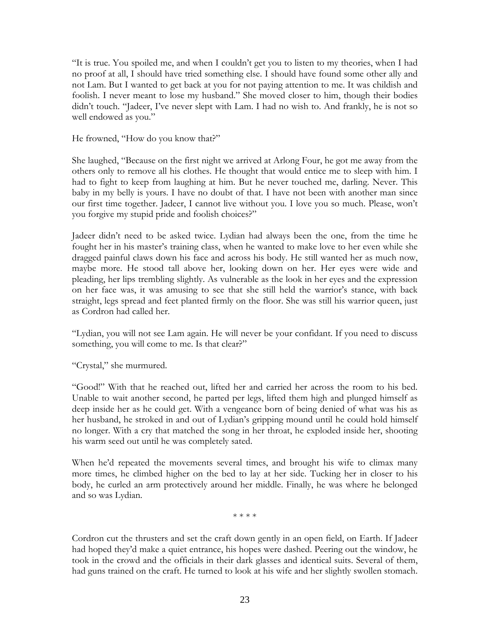"It is true. You spoiled me, and when I couldn't get you to listen to my theories, when I had no proof at all, I should have tried something else. I should have found some other ally and not Lam. But I wanted to get back at you for not paying attention to me. It was childish and foolish. I never meant to lose my husband." She moved closer to him, though their bodies didn't touch. "Jadeer, I've never slept with Lam. I had no wish to. And frankly, he is not so well endowed as you."

He frowned, "How do you know that?"

She laughed, "Because on the first night we arrived at Arlong Four, he got me away from the others only to remove all his clothes. He thought that would entice me to sleep with him. I had to fight to keep from laughing at him. But he never touched me, darling. Never. This baby in my belly is yours. I have no doubt of that. I have not been with another man since our first time together. Jadeer, I cannot live without you. I love you so much. Please, won't you forgive my stupid pride and foolish choices?"

Jadeer didn't need to be asked twice. Lydian had always been the one, from the time he fought her in his master's training class, when he wanted to make love to her even while she dragged painful claws down his face and across his body. He still wanted her as much now, maybe more. He stood tall above her, looking down on her. Her eyes were wide and pleading, her lips trembling slightly. As vulnerable as the look in her eyes and the expression on her face was, it was amusing to see that she still held the warrior's stance, with back straight, legs spread and feet planted firmly on the floor. She was still his warrior queen, just as Cordron had called her.

"Lydian, you will not see Lam again. He will never be your confidant. If you need to discuss something, you will come to me. Is that clear?"

"Crystal," she murmured.

"Good!" With that he reached out, lifted her and carried her across the room to his bed. Unable to wait another second, he parted per legs, lifted them high and plunged himself as deep inside her as he could get. With a vengeance born of being denied of what was his as her husband, he stroked in and out of Lydian's gripping mound until he could hold himself no longer. With a cry that matched the song in her throat, he exploded inside her, shooting his warm seed out until he was completely sated.

When he'd repeated the movements several times, and brought his wife to climax many more times, he climbed higher on the bed to lay at her side. Tucking her in closer to his body, he curled an arm protectively around her middle. Finally, he was where he belonged and so was Lydian.

\* \* \* \*

Cordron cut the thrusters and set the craft down gently in an open field, on Earth. If Jadeer had hoped they'd make a quiet entrance, his hopes were dashed. Peering out the window, he took in the crowd and the officials in their dark glasses and identical suits. Several of them, had guns trained on the craft. He turned to look at his wife and her slightly swollen stomach.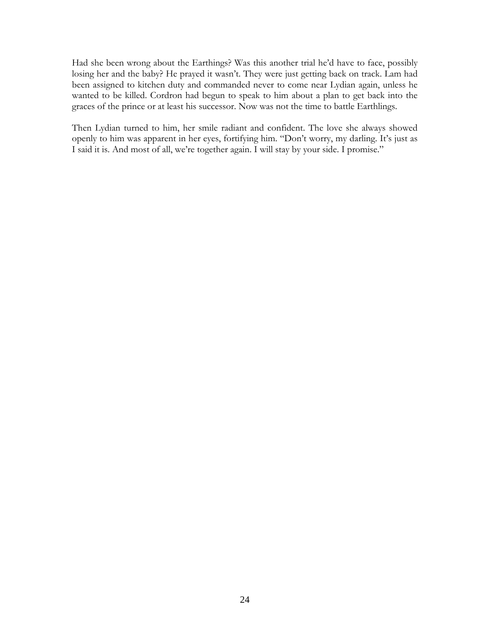Had she been wrong about the Earthings? Was this another trial he'd have to face, possibly losing her and the baby? He prayed it wasn't. They were just getting back on track. Lam had been assigned to kitchen duty and commanded never to come near Lydian again, unless he wanted to be killed. Cordron had begun to speak to him about a plan to get back into the graces of the prince or at least his successor. Now was not the time to battle Earthlings.

Then Lydian turned to him, her smile radiant and confident. The love she always showed openly to him was apparent in her eyes, fortifying him. "Don't worry, my darling. It's just as I said it is. And most of all, we're together again. I will stay by your side. I promise."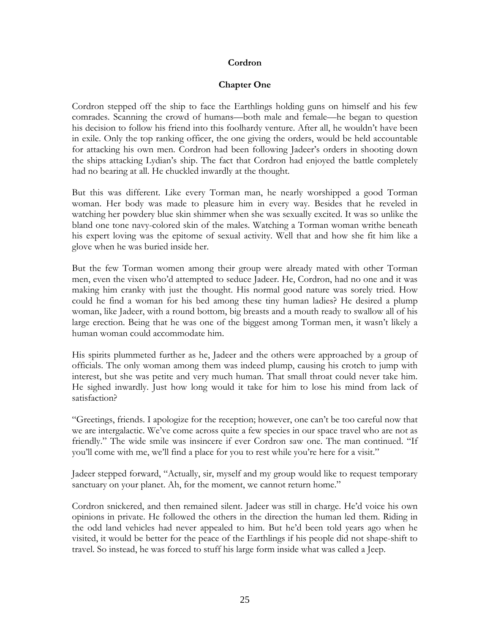### **Cordron**

#### **Chapter One**

Cordron stepped off the ship to face the Earthlings holding guns on himself and his few comrades. Scanning the crowd of humans—both male and female—he began to question his decision to follow his friend into this foolhardy venture. After all, he wouldn't have been in exile. Only the top ranking officer, the one giving the orders, would be held accountable for attacking his own men. Cordron had been following Jadeer's orders in shooting down the ships attacking Lydian's ship. The fact that Cordron had enjoyed the battle completely had no bearing at all. He chuckled inwardly at the thought.

But this was different. Like every Torman man, he nearly worshipped a good Torman woman. Her body was made to pleasure him in every way. Besides that he reveled in watching her powdery blue skin shimmer when she was sexually excited. It was so unlike the bland one tone navy-colored skin of the males. Watching a Torman woman writhe beneath his expert loving was the epitome of sexual activity. Well that and how she fit him like a glove when he was buried inside her.

But the few Torman women among their group were already mated with other Torman men, even the vixen who'd attempted to seduce Jadeer. He, Cordron, had no one and it was making him cranky with just the thought. His normal good nature was sorely tried. How could he find a woman for his bed among these tiny human ladies? He desired a plump woman, like Jadeer, with a round bottom, big breasts and a mouth ready to swallow all of his large erection. Being that he was one of the biggest among Torman men, it wasn't likely a human woman could accommodate him.

His spirits plummeted further as he, Jadeer and the others were approached by a group of officials. The only woman among them was indeed plump, causing his crotch to jump with interest, but she was petite and very much human. That small throat could never take him. He sighed inwardly. Just how long would it take for him to lose his mind from lack of satisfaction?

"Greetings, friends. I apologize for the reception; however, one can't be too careful now that we are intergalactic. We've come across quite a few species in our space travel who are not as friendly." The wide smile was insincere if ever Cordron saw one. The man continued. "If you'll come with me, we'll find a place for you to rest while you're here for a visit."

Jadeer stepped forward, "Actually, sir, myself and my group would like to request temporary sanctuary on your planet. Ah, for the moment, we cannot return home."

Cordron snickered, and then remained silent. Jadeer was still in charge. He'd voice his own opinions in private. He followed the others in the direction the human led them. Riding in the odd land vehicles had never appealed to him. But he'd been told years ago when he visited, it would be better for the peace of the Earthlings if his people did not shape-shift to travel. So instead, he was forced to stuff his large form inside what was called a Jeep.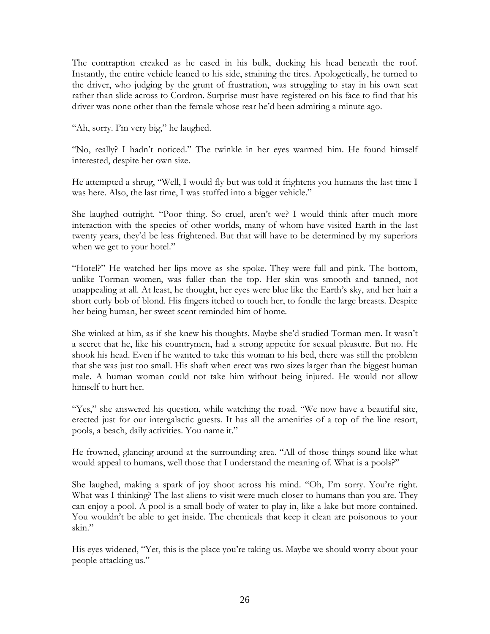The contraption creaked as he eased in his bulk, ducking his head beneath the roof. Instantly, the entire vehicle leaned to his side, straining the tires. Apologetically, he turned to the driver, who judging by the grunt of frustration, was struggling to stay in his own seat rather than slide across to Cordron. Surprise must have registered on his face to find that his driver was none other than the female whose rear he'd been admiring a minute ago.

"Ah, sorry. I'm very big," he laughed.

"No, really? I hadn't noticed." The twinkle in her eyes warmed him. He found himself interested, despite her own size.

He attempted a shrug, "Well, I would fly but was told it frightens you humans the last time I was here. Also, the last time, I was stuffed into a bigger vehicle."

She laughed outright. "Poor thing. So cruel, aren't we? I would think after much more interaction with the species of other worlds, many of whom have visited Earth in the last twenty years, they'd be less frightened. But that will have to be determined by my superiors when we get to your hotel."

"Hotel?" He watched her lips move as she spoke. They were full and pink. The bottom, unlike Torman women, was fuller than the top. Her skin was smooth and tanned, not unappealing at all. At least, he thought, her eyes were blue like the Earth's sky, and her hair a short curly bob of blond. His fingers itched to touch her, to fondle the large breasts. Despite her being human, her sweet scent reminded him of home.

She winked at him, as if she knew his thoughts. Maybe she'd studied Torman men. It wasn't a secret that he, like his countrymen, had a strong appetite for sexual pleasure. But no. He shook his head. Even if he wanted to take this woman to his bed, there was still the problem that she was just too small. His shaft when erect was two sizes larger than the biggest human male. A human woman could not take him without being injured. He would not allow himself to hurt her.

"Yes," she answered his question, while watching the road. "We now have a beautiful site, erected just for our intergalactic guests. It has all the amenities of a top of the line resort, pools, a beach, daily activities. You name it."

He frowned, glancing around at the surrounding area. "All of those things sound like what would appeal to humans, well those that I understand the meaning of. What is a pools?"

She laughed, making a spark of joy shoot across his mind. "Oh, I'm sorry. You're right. What was I thinking? The last aliens to visit were much closer to humans than you are. They can enjoy a pool. A pool is a small body of water to play in, like a lake but more contained. You wouldn't be able to get inside. The chemicals that keep it clean are poisonous to your skin."

His eyes widened, "Yet, this is the place you're taking us. Maybe we should worry about your people attacking us."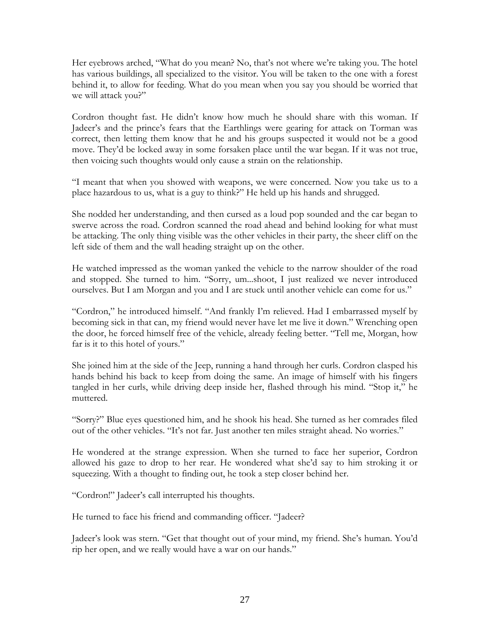Her eyebrows arched, "What do you mean? No, that's not where we're taking you. The hotel has various buildings, all specialized to the visitor. You will be taken to the one with a forest behind it, to allow for feeding. What do you mean when you say you should be worried that we will attack you?"

Cordron thought fast. He didn't know how much he should share with this woman. If Jadeer's and the prince's fears that the Earthlings were gearing for attack on Torman was correct, then letting them know that he and his groups suspected it would not be a good move. They'd be locked away in some forsaken place until the war began. If it was not true, then voicing such thoughts would only cause a strain on the relationship.

"I meant that when you showed with weapons, we were concerned. Now you take us to a place hazardous to us, what is a guy to think?" He held up his hands and shrugged.

She nodded her understanding, and then cursed as a loud pop sounded and the car began to swerve across the road. Cordron scanned the road ahead and behind looking for what must be attacking. The only thing visible was the other vehicles in their party, the sheer cliff on the left side of them and the wall heading straight up on the other.

He watched impressed as the woman yanked the vehicle to the narrow shoulder of the road and stopped. She turned to him. "Sorry, um...shoot, I just realized we never introduced ourselves. But I am Morgan and you and I are stuck until another vehicle can come for us."

"Cordron," he introduced himself. "And frankly I'm relieved. Had I embarrassed myself by becoming sick in that can, my friend would never have let me live it down." Wrenching open the door, he forced himself free of the vehicle, already feeling better. "Tell me, Morgan, how far is it to this hotel of yours."

She joined him at the side of the Jeep, running a hand through her curls. Cordron clasped his hands behind his back to keep from doing the same. An image of himself with his fingers tangled in her curls, while driving deep inside her, flashed through his mind. "Stop it," he muttered.

"Sorry?" Blue eyes questioned him, and he shook his head. She turned as her comrades filed out of the other vehicles. "It's not far. Just another ten miles straight ahead. No worries."

He wondered at the strange expression. When she turned to face her superior, Cordron allowed his gaze to drop to her rear. He wondered what she'd say to him stroking it or squeezing. With a thought to finding out, he took a step closer behind her.

"Cordron!" Jadeer's call interrupted his thoughts.

He turned to face his friend and commanding officer. "Jadeer?

Jadeer's look was stern. "Get that thought out of your mind, my friend. She's human. You'd rip her open, and we really would have a war on our hands."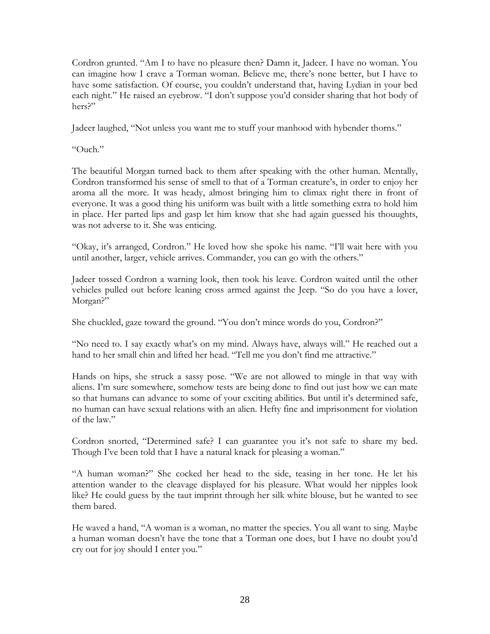Cordron grunted. "Am I to have no pleasure then? Damn it, Jadeer. I have no woman. You can imagine how I crave a Torman woman. Believe me, there's none better, but I have to have some satisfaction. Of course, you couldn't understand that, having Lydian in your bed each night." He raised an eyebrow. "I don't suppose you'd consider sharing that hot body of hers?"

Jadeer laughed, "Not unless you want me to stuff your manhood with hybender thorns."

"Ouch."

The beautiful Morgan turned back to them after speaking with the other human. Mentally, Cordron transformed his sense of smell to that of a Torman creature's, in order to enjoy her aroma all the more. It was heady, almost bringing him to climax right there in front of everyone. It was a good thing his uniform was built with a little something extra to hold him in place. Her parted lips and gasp let him know that she had again guessed his thouughts, was not adverse to it. She was enticing.

"Okay, it's arranged, Cordron." He loved how she spoke his name. "I'll wait here with you until another, larger, vehicle arrives. Commander, you can go with the others."

Jadeer tossed Cordron a warning look, then took his leave. Cordron waited until the other vehicles pulled out before leaning cross armed against the Jeep. "So do you have a lover, Morgan?"

She chuckled, gaze toward the ground. "You don't mince words do you, Cordron?"

"No need to. I say exactly what's on my mind. Always have, always will." He reached out a hand to her small chin and lifted her head. "Tell me you don't find me attractive."

Hands on hips, she struck a sassy pose. "We are not allowed to mingle in that way with aliens. I'm sure somewhere, somehow tests are being done to find out just how we can mate so that humans can advance to some of your exciting abilities. But until it's determined safe, no human can have sexual relations with an alien. Hefty fine and imprisonment for violation of the law."

Cordron snorted, "Determined safe? I can guarantee you it's not safe to share my bed. Though I've been told that I have a natural knack for pleasing a woman."

"A human woman?" She cocked her head to the side, teasing in her tone. He let his attention wander to the cleavage displayed for his pleasure. What would her nipples look like? He could guess by the taut imprint through her silk white blouse, but he wanted to see them bared.

He waved a hand, "A woman is a woman, no matter the species. You all want to sing. Maybe a human woman doesn't have the tone that a Torman one does, but I have no doubt you'd cry out for joy should I enter you."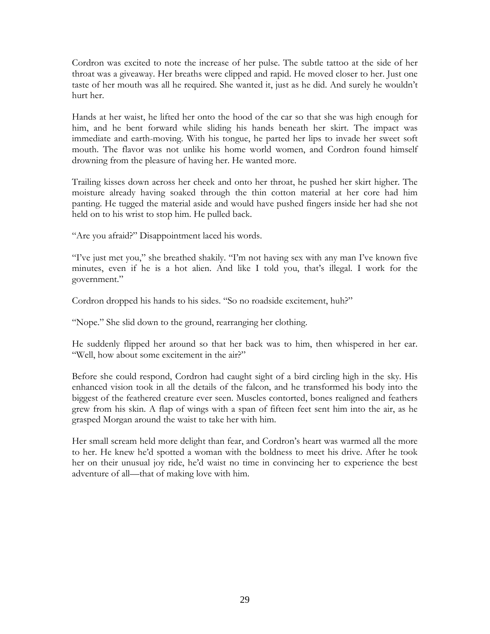Cordron was excited to note the increase of her pulse. The subtle tattoo at the side of her throat was a giveaway. Her breaths were clipped and rapid. He moved closer to her. Just one taste of her mouth was all he required. She wanted it, just as he did. And surely he wouldn't hurt her.

Hands at her waist, he lifted her onto the hood of the car so that she was high enough for him, and he bent forward while sliding his hands beneath her skirt. The impact was immediate and earth-moving. With his tongue, he parted her lips to invade her sweet soft mouth. The flavor was not unlike his home world women, and Cordron found himself drowning from the pleasure of having her. He wanted more.

Trailing kisses down across her cheek and onto her throat, he pushed her skirt higher. The moisture already having soaked through the thin cotton material at her core had him panting. He tugged the material aside and would have pushed fingers inside her had she not held on to his wrist to stop him. He pulled back.

"Are you afraid?" Disappointment laced his words.

"I've just met you," she breathed shakily. "I'm not having sex with any man I've known five minutes, even if he is a hot alien. And like I told you, that's illegal. I work for the government."

Cordron dropped his hands to his sides. "So no roadside excitement, huh?"

"Nope." She slid down to the ground, rearranging her clothing.

He suddenly flipped her around so that her back was to him, then whispered in her ear. "Well, how about some excitement in the air?"

Before she could respond, Cordron had caught sight of a bird circling high in the sky. His enhanced vision took in all the details of the falcon, and he transformed his body into the biggest of the feathered creature ever seen. Muscles contorted, bones realigned and feathers grew from his skin. A flap of wings with a span of fifteen feet sent him into the air, as he grasped Morgan around the waist to take her with him.

Her small scream held more delight than fear, and Cordron's heart was warmed all the more to her. He knew he'd spotted a woman with the boldness to meet his drive. After he took her on their unusual joy ride, he'd waist no time in convincing her to experience the best adventure of all—that of making love with him.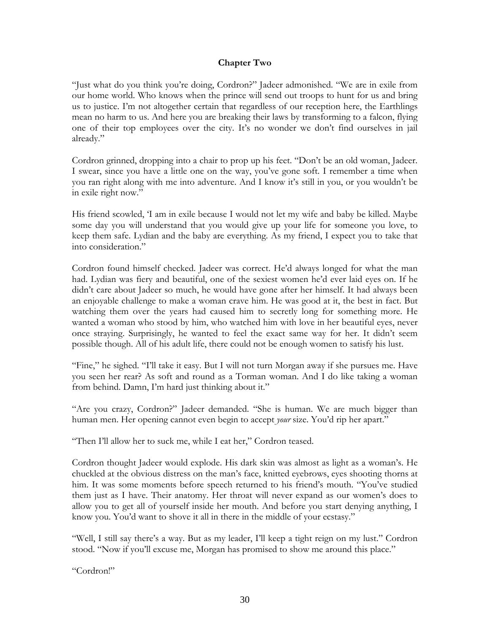### **Chapter Two**

"Just what do you think you're doing, Cordron?" Jadeer admonished. "We are in exile from our home world. Who knows when the prince will send out troops to hunt for us and bring us to justice. I'm not altogether certain that regardless of our reception here, the Earthlings mean no harm to us. And here you are breaking their laws by transforming to a falcon, flying one of their top employees over the city. It's no wonder we don't find ourselves in jail already."

Cordron grinned, dropping into a chair to prop up his feet. "Don't be an old woman, Jadeer. I swear, since you have a little one on the way, you've gone soft. I remember a time when you ran right along with me into adventure. And I know it's still in you, or you wouldn't be in exile right now."

His friend scowled, 'I am in exile because I would not let my wife and baby be killed. Maybe some day you will understand that you would give up your life for someone you love, to keep them safe. Lydian and the baby are everything. As my friend, I expect you to take that into consideration."

Cordron found himself checked. Jadeer was correct. He'd always longed for what the man had. Lydian was fiery and beautiful, one of the sexiest women he'd ever laid eyes on. If he didn't care about Jadeer so much, he would have gone after her himself. It had always been an enjoyable challenge to make a woman crave him. He was good at it, the best in fact. But watching them over the years had caused him to secretly long for something more. He wanted a woman who stood by him, who watched him with love in her beautiful eyes, never once straying. Surprisingly, he wanted to feel the exact same way for her. It didn't seem possible though. All of his adult life, there could not be enough women to satisfy his lust.

"Fine," he sighed. "I'll take it easy. But I will not turn Morgan away if she pursues me. Have you seen her rear? As soft and round as a Torman woman. And I do like taking a woman from behind. Damn, I'm hard just thinking about it."

"Are you crazy, Cordron?" Jadeer demanded. "She is human. We are much bigger than human men. Her opening cannot even begin to accept *your* size. You'd rip her apart."

"Then I'll allow her to suck me, while I eat her," Cordron teased.

Cordron thought Jadeer would explode. His dark skin was almost as light as a woman's. He chuckled at the obvious distress on the man's face, knitted eyebrows, eyes shooting thorns at him. It was some moments before speech returned to his friend's mouth. "You've studied them just as I have. Their anatomy. Her throat will never expand as our women's does to allow you to get all of yourself inside her mouth. And before you start denying anything, I know you. You'd want to shove it all in there in the middle of your ecstasy."

"Well, I still say there's a way. But as my leader, I'll keep a tight reign on my lust." Cordron stood. "Now if you'll excuse me, Morgan has promised to show me around this place."

"Cordron!"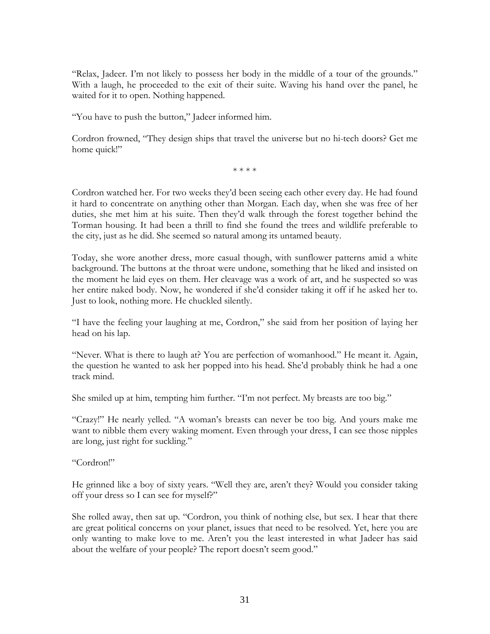"Relax, Jadeer. I'm not likely to possess her body in the middle of a tour of the grounds." With a laugh, he proceeded to the exit of their suite. Waving his hand over the panel, he waited for it to open. Nothing happened.

"You have to push the button," Jadeer informed him.

Cordron frowned, "They design ships that travel the universe but no hi-tech doors? Get me home quick!"

\* \* \* \*

Cordron watched her. For two weeks they'd been seeing each other every day. He had found it hard to concentrate on anything other than Morgan. Each day, when she was free of her duties, she met him at his suite. Then they'd walk through the forest together behind the Torman housing. It had been a thrill to find she found the trees and wildlife preferable to the city, just as he did. She seemed so natural among its untamed beauty.

Today, she wore another dress, more casual though, with sunflower patterns amid a white background. The buttons at the throat were undone, something that he liked and insisted on the moment he laid eyes on them. Her cleavage was a work of art, and he suspected so was her entire naked body. Now, he wondered if she'd consider taking it off if he asked her to. Just to look, nothing more. He chuckled silently.

"I have the feeling your laughing at me, Cordron," she said from her position of laying her head on his lap.

"Never. What is there to laugh at? You are perfection of womanhood." He meant it. Again, the question he wanted to ask her popped into his head. She'd probably think he had a one track mind.

She smiled up at him, tempting him further. "I'm not perfect. My breasts are too big."

"Crazy!" He nearly yelled. "A woman's breasts can never be too big. And yours make me want to nibble them every waking moment. Even through your dress, I can see those nipples are long, just right for suckling."

## "Cordron!"

He grinned like a boy of sixty years. "Well they are, aren't they? Would you consider taking off your dress so I can see for myself?"

She rolled away, then sat up. "Cordron, you think of nothing else, but sex. I hear that there are great political concerns on your planet, issues that need to be resolved. Yet, here you are only wanting to make love to me. Aren't you the least interested in what Jadeer has said about the welfare of your people? The report doesn't seem good."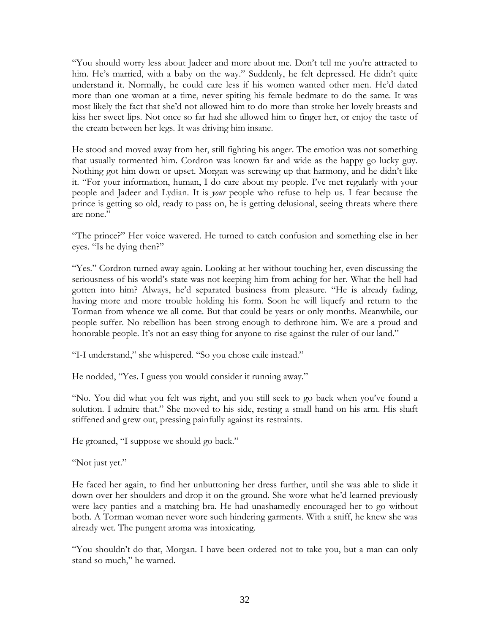"You should worry less about Jadeer and more about me. Don't tell me you're attracted to him. He's married, with a baby on the way." Suddenly, he felt depressed. He didn't quite understand it. Normally, he could care less if his women wanted other men. He'd dated more than one woman at a time, never spiting his female bedmate to do the same. It was most likely the fact that she'd not allowed him to do more than stroke her lovely breasts and kiss her sweet lips. Not once so far had she allowed him to finger her, or enjoy the taste of the cream between her legs. It was driving him insane.

He stood and moved away from her, still fighting his anger. The emotion was not something that usually tormented him. Cordron was known far and wide as the happy go lucky guy. Nothing got him down or upset. Morgan was screwing up that harmony, and he didn't like it. "For your information, human, I do care about my people. I've met regularly with your people and Jadeer and Lydian. It is *your* people who refuse to help us. I fear because the prince is getting so old, ready to pass on, he is getting delusional, seeing threats where there are none."

"The prince?" Her voice wavered. He turned to catch confusion and something else in her eyes. "Is he dying then?"

"Yes." Cordron turned away again. Looking at her without touching her, even discussing the seriousness of his world's state was not keeping him from aching for her. What the hell had gotten into him? Always, he'd separated business from pleasure. "He is already fading, having more and more trouble holding his form. Soon he will liquefy and return to the Torman from whence we all come. But that could be years or only months. Meanwhile, our people suffer. No rebellion has been strong enough to dethrone him. We are a proud and honorable people. It's not an easy thing for anyone to rise against the ruler of our land."

"I-I understand," she whispered. "So you chose exile instead."

He nodded, "Yes. I guess you would consider it running away."

"No. You did what you felt was right, and you still seek to go back when you've found a solution. I admire that." She moved to his side, resting a small hand on his arm. His shaft stiffened and grew out, pressing painfully against its restraints.

He groaned, "I suppose we should go back."

"Not just yet."

He faced her again, to find her unbuttoning her dress further, until she was able to slide it down over her shoulders and drop it on the ground. She wore what he'd learned previously were lacy panties and a matching bra. He had unashamedly encouraged her to go without both. A Torman woman never wore such hindering garments. With a sniff, he knew she was already wet. The pungent aroma was intoxicating.

"You shouldn't do that, Morgan. I have been ordered not to take you, but a man can only stand so much," he warned.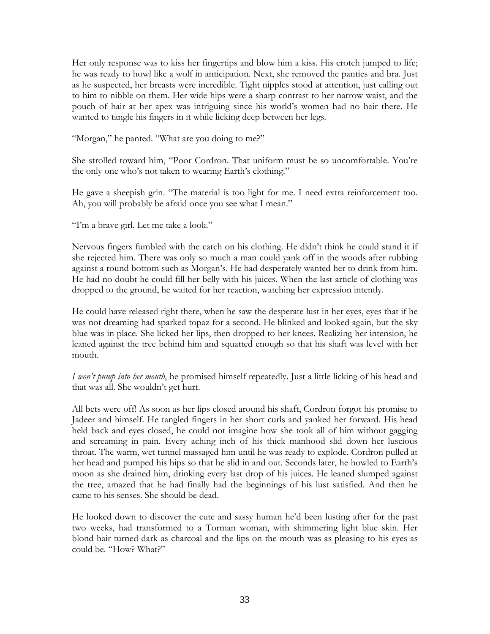Her only response was to kiss her fingertips and blow him a kiss. His crotch jumped to life; he was ready to howl like a wolf in anticipation. Next, she removed the panties and bra. Just as he suspected, her breasts were incredible. Tight nipples stood at attention, just calling out to him to nibble on them. Her wide hips were a sharp contrast to her narrow waist, and the pouch of hair at her apex was intriguing since his world's women had no hair there. He wanted to tangle his fingers in it while licking deep between her legs.

"Morgan," he panted. "What are you doing to me?"

She strolled toward him, "Poor Cordron. That uniform must be so uncomfortable. You're the only one who's not taken to wearing Earth's clothing."

He gave a sheepish grin. "The material is too light for me. I need extra reinforcement too. Ah, you will probably be afraid once you see what I mean."

"I'm a brave girl. Let me take a look."

Nervous fingers fumbled with the catch on his clothing. He didn't think he could stand it if she rejected him. There was only so much a man could yank off in the woods after rubbing against a round bottom such as Morgan's. He had desperately wanted her to drink from him. He had no doubt he could fill her belly with his juices. When the last article of clothing was dropped to the ground, he waited for her reaction, watching her expression intently.

He could have released right there, when he saw the desperate lust in her eyes, eyes that if he was not dreaming had sparked topaz for a second. He blinked and looked again, but the sky blue was in place. She licked her lips, then dropped to her knees. Realizing her intension, he leaned against the tree behind him and squatted enough so that his shaft was level with her mouth.

*I won't pump into her mouth*, he promised himself repeatedly. Just a little licking of his head and that was all. She wouldn't get hurt.

All bets were off! As soon as her lips closed around his shaft, Cordron forgot his promise to Jadeer and himself. He tangled fingers in her short curls and yanked her forward. His head held back and eyes closed, he could not imagine how she took all of him without gagging and screaming in pain. Every aching inch of his thick manhood slid down her luscious throat. The warm, wet tunnel massaged him until he was ready to explode. Cordron pulled at her head and pumped his hips so that he slid in and out. Seconds later, he howled to Earth's moon as she drained him, drinking every last drop of his juices. He leaned slumped against the tree, amazed that he had finally had the beginnings of his lust satisfied. And then he came to his senses. She should be dead.

He looked down to discover the cute and sassy human he'd been lusting after for the past two weeks, had transformed to a Torman woman, with shimmering light blue skin. Her blond hair turned dark as charcoal and the lips on the mouth was as pleasing to his eyes as could be. "How? What?"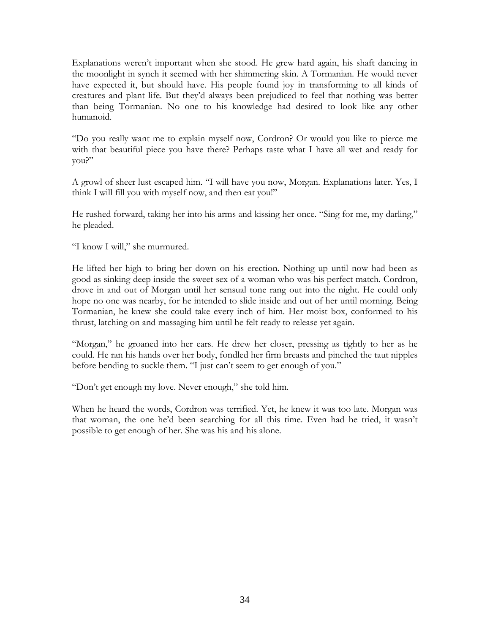Explanations weren't important when she stood. He grew hard again, his shaft dancing in the moonlight in synch it seemed with her shimmering skin. A Tormanian. He would never have expected it, but should have. His people found joy in transforming to all kinds of creatures and plant life. But they'd always been prejudiced to feel that nothing was better than being Tormanian. No one to his knowledge had desired to look like any other humanoid.

"Do you really want me to explain myself now, Cordron? Or would you like to pierce me with that beautiful piece you have there? Perhaps taste what I have all wet and ready for you?"

A growl of sheer lust escaped him. "I will have you now, Morgan. Explanations later. Yes, I think I will fill you with myself now, and then eat you!"

He rushed forward, taking her into his arms and kissing her once. "Sing for me, my darling," he pleaded.

"I know I will," she murmured.

He lifted her high to bring her down on his erection. Nothing up until now had been as good as sinking deep inside the sweet sex of a woman who was his perfect match. Cordron, drove in and out of Morgan until her sensual tone rang out into the night. He could only hope no one was nearby, for he intended to slide inside and out of her until morning. Being Tormanian, he knew she could take every inch of him. Her moist box, conformed to his thrust, latching on and massaging him until he felt ready to release yet again.

"Morgan," he groaned into her ears. He drew her closer, pressing as tightly to her as he could. He ran his hands over her body, fondled her firm breasts and pinched the taut nipples before bending to suckle them. "I just can't seem to get enough of you."

"Don't get enough my love. Never enough," she told him.

When he heard the words, Cordron was terrified. Yet, he knew it was too late. Morgan was that woman, the one he'd been searching for all this time. Even had he tried, it wasn't possible to get enough of her. She was his and his alone.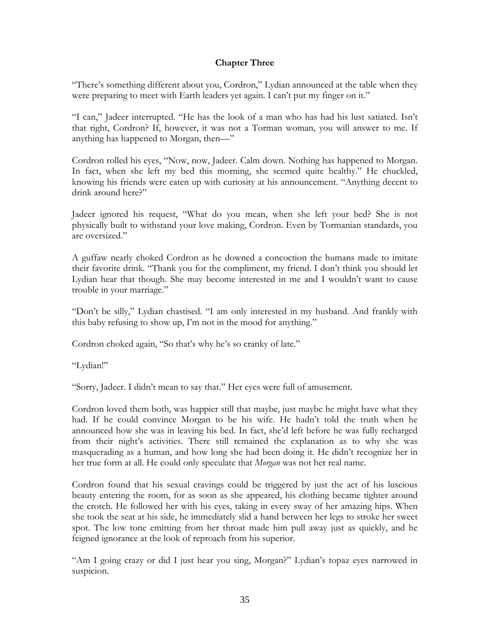# **Chapter Three**

"There's something different about you, Cordron," Lydian announced at the table when they were preparing to meet with Earth leaders yet again. I can't put my finger on it."

"I can," Jadeer interrupted. "He has the look of a man who has had his lust satiated. Isn't that right, Cordron? If, however, it was not a Torman woman, you will answer to me. If anything has happened to Morgan, then—"

Cordron rolled his eyes, "Now, now, Jadeer. Calm down. Nothing has happened to Morgan. In fact, when she left my bed this morning, she seemed quite healthy." He chuckled, knowing his friends were eaten up with curiosity at his announcement. "Anything decent to drink around here?"

Jadeer ignored his request, "What do you mean, when she left your bed? She is not physically built to withstand your love making, Cordron. Even by Tormanian standards, you are oversized."

A guffaw nearly choked Cordron as he downed a concoction the humans made to imitate their favorite drink. "Thank you for the compliment, my friend. I don't think you should let Lydian hear that though. She may become interested in me and I wouldn't want to cause trouble in your marriage."

"Don't be silly," Lydian chastised. "I am only interested in my husband. And frankly with this baby refusing to show up, I'm not in the mood for anything."

Cordron choked again, "So that's why he's so cranky of late."

"Lydian!"

"Sorry, Jadeer. I didn't mean to say that." Her eyes were full of amusement.

Cordron loved them both, was happier still that maybe, just maybe he might have what they had. If he could convince Morgan to be his wife. He hadn't told the truth when he announced how she was in leaving his bed. In fact, she'd left before he was fully recharged from their night's activities. There still remained the explanation as to why she was masquerading as a human, and how long she had been doing it. He didn't recognize her in her true form at all. He could only speculate that *Morgan* was not her real name.

Cordron found that his sexual cravings could be triggered by just the act of his luscious beauty entering the room, for as soon as she appeared, his clothing became tighter around the crotch. He followed her with his eyes, taking in every sway of her amazing hips. When she took the seat at his side, he immediately slid a hand between her legs to stroke her sweet spot. The low tone emitting from her throat made him pull away just as quickly, and he feigned ignorance at the look of reproach from his superior.

"Am I going crazy or did I just hear you sing, Morgan?" Lydian's topaz eyes narrowed in suspicion.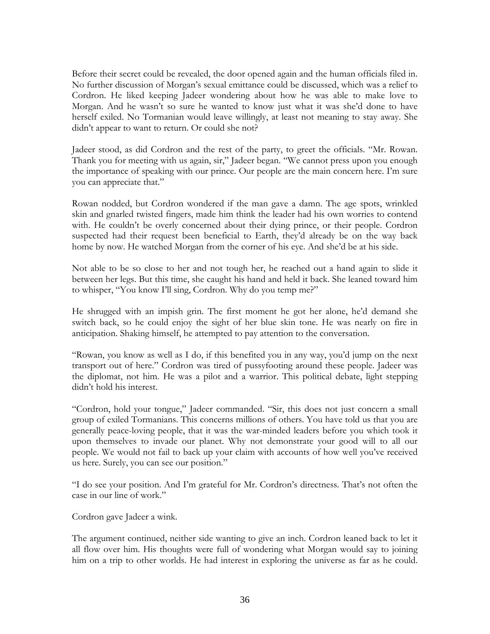Before their secret could be revealed, the door opened again and the human officials filed in. No further discussion of Morgan's sexual emittance could be discussed, which was a relief to Cordron. He liked keeping Jadeer wondering about how he was able to make love to Morgan. And he wasn't so sure he wanted to know just what it was she'd done to have herself exiled. No Tormanian would leave willingly, at least not meaning to stay away. She didn't appear to want to return. Or could she not?

Jadeer stood, as did Cordron and the rest of the party, to greet the officials. "Mr. Rowan. Thank you for meeting with us again, sir," Jadeer began. "We cannot press upon you enough the importance of speaking with our prince. Our people are the main concern here. I'm sure you can appreciate that."

Rowan nodded, but Cordron wondered if the man gave a damn. The age spots, wrinkled skin and gnarled twisted fingers, made him think the leader had his own worries to contend with. He couldn't be overly concerned about their dying prince, or their people. Cordron suspected had their request been beneficial to Earth, they'd already be on the way back home by now. He watched Morgan from the corner of his eye. And she'd be at his side.

Not able to be so close to her and not tough her, he reached out a hand again to slide it between her legs. But this time, she caught his hand and held it back. She leaned toward him to whisper, "You know I'll sing, Cordron. Why do you temp me?"

He shrugged with an impish grin. The first moment he got her alone, he'd demand she switch back, so he could enjoy the sight of her blue skin tone. He was nearly on fire in anticipation. Shaking himself, he attempted to pay attention to the conversation.

"Rowan, you know as well as I do, if this benefited you in any way, you'd jump on the next transport out of here." Cordron was tired of pussyfooting around these people. Jadeer was the diplomat, not him. He was a pilot and a warrior. This political debate, light stepping didn't hold his interest.

"Cordron, hold your tongue," Jadeer commanded. "Sir, this does not just concern a small group of exiled Tormanians. This concerns millions of others. You have told us that you are generally peace-loving people, that it was the war-minded leaders before you which took it upon themselves to invade our planet. Why not demonstrate your good will to all our people. We would not fail to back up your claim with accounts of how well you've received us here. Surely, you can see our position."

"I do see your position. And I'm grateful for Mr. Cordron's directness. That's not often the case in our line of work."

Cordron gave Jadeer a wink.

The argument continued, neither side wanting to give an inch. Cordron leaned back to let it all flow over him. His thoughts were full of wondering what Morgan would say to joining him on a trip to other worlds. He had interest in exploring the universe as far as he could.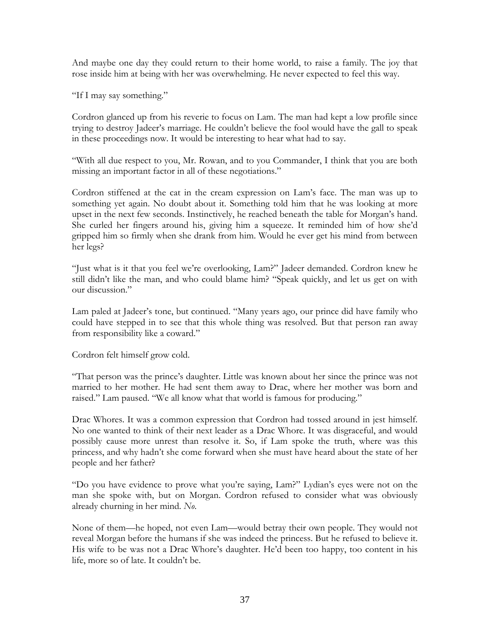And maybe one day they could return to their home world, to raise a family. The joy that rose inside him at being with her was overwhelming. He never expected to feel this way.

"If I may say something."

Cordron glanced up from his reverie to focus on Lam. The man had kept a low profile since trying to destroy Jadeer's marriage. He couldn't believe the fool would have the gall to speak in these proceedings now. It would be interesting to hear what had to say.

"With all due respect to you, Mr. Rowan, and to you Commander, I think that you are both missing an important factor in all of these negotiations."

Cordron stiffened at the cat in the cream expression on Lam's face. The man was up to something yet again. No doubt about it. Something told him that he was looking at more upset in the next few seconds. Instinctively, he reached beneath the table for Morgan's hand. She curled her fingers around his, giving him a squeeze. It reminded him of how she'd gripped him so firmly when she drank from him. Would he ever get his mind from between her legs?

"Just what is it that you feel we're overlooking, Lam?" Jadeer demanded. Cordron knew he still didn't like the man, and who could blame him? "Speak quickly, and let us get on with our discussion."

Lam paled at Jadeer's tone, but continued. "Many years ago, our prince did have family who could have stepped in to see that this whole thing was resolved. But that person ran away from responsibility like a coward."

Cordron felt himself grow cold.

"That person was the prince's daughter. Little was known about her since the prince was not married to her mother. He had sent them away to Drac, where her mother was born and raised." Lam paused. "We all know what that world is famous for producing."

Drac Whores. It was a common expression that Cordron had tossed around in jest himself. No one wanted to think of their next leader as a Drac Whore. It was disgraceful, and would possibly cause more unrest than resolve it. So, if Lam spoke the truth, where was this princess, and why hadn't she come forward when she must have heard about the state of her people and her father?

"Do you have evidence to prove what you're saying, Lam?" Lydian's eyes were not on the man she spoke with, but on Morgan. Cordron refused to consider what was obviously already churning in her mind. *No*.

None of them—he hoped, not even Lam—would betray their own people. They would not reveal Morgan before the humans if she was indeed the princess. But he refused to believe it. His wife to be was not a Drac Whore's daughter. He'd been too happy, too content in his life, more so of late. It couldn't be.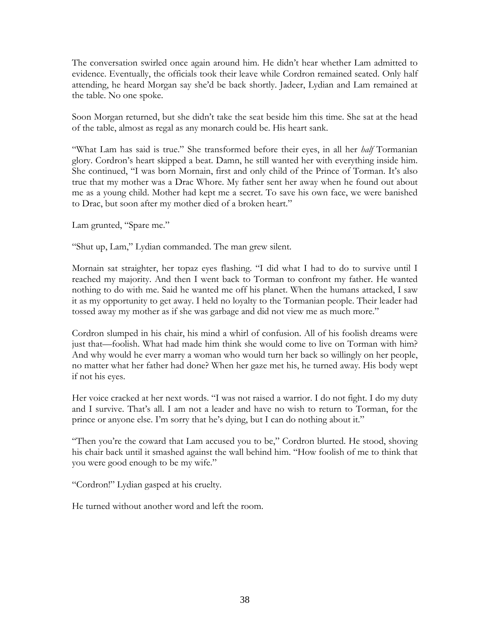The conversation swirled once again around him. He didn't hear whether Lam admitted to evidence. Eventually, the officials took their leave while Cordron remained seated. Only half attending, he heard Morgan say she'd be back shortly. Jadeer, Lydian and Lam remained at the table. No one spoke.

Soon Morgan returned, but she didn't take the seat beside him this time. She sat at the head of the table, almost as regal as any monarch could be. His heart sank.

"What Lam has said is true." She transformed before their eyes, in all her *half* Tormanian glory. Cordron's heart skipped a beat. Damn, he still wanted her with everything inside him. She continued, "I was born Mornain, first and only child of the Prince of Torman. It's also true that my mother was a Drac Whore. My father sent her away when he found out about me as a young child. Mother had kept me a secret. To save his own face, we were banished to Drac, but soon after my mother died of a broken heart."

Lam grunted, "Spare me."

"Shut up, Lam," Lydian commanded. The man grew silent.

Mornain sat straighter, her topaz eyes flashing. "I did what I had to do to survive until I reached my majority. And then I went back to Torman to confront my father. He wanted nothing to do with me. Said he wanted me off his planet. When the humans attacked, I saw it as my opportunity to get away. I held no loyalty to the Tormanian people. Their leader had tossed away my mother as if she was garbage and did not view me as much more."

Cordron slumped in his chair, his mind a whirl of confusion. All of his foolish dreams were just that—foolish. What had made him think she would come to live on Torman with him? And why would he ever marry a woman who would turn her back so willingly on her people, no matter what her father had done? When her gaze met his, he turned away. His body wept if not his eyes.

Her voice cracked at her next words. "I was not raised a warrior. I do not fight. I do my duty and I survive. That's all. I am not a leader and have no wish to return to Torman, for the prince or anyone else. I'm sorry that he's dying, but I can do nothing about it."

"Then you're the coward that Lam accused you to be," Cordron blurted. He stood, shoving his chair back until it smashed against the wall behind him. "How foolish of me to think that you were good enough to be my wife."

"Cordron!" Lydian gasped at his cruelty.

He turned without another word and left the room.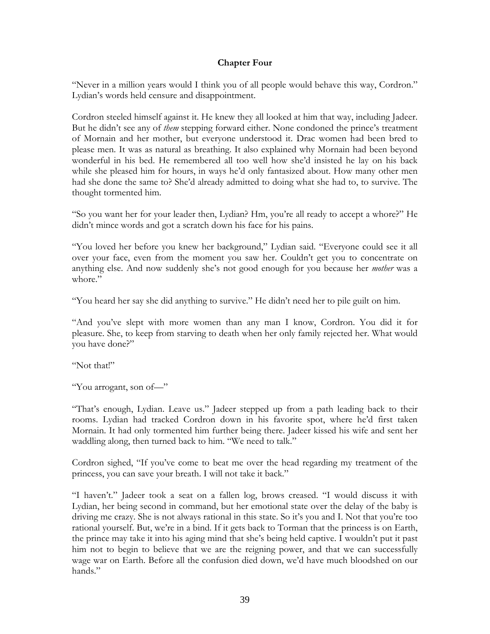## **Chapter Four**

"Never in a million years would I think you of all people would behave this way, Cordron." Lydian's words held censure and disappointment.

Cordron steeled himself against it. He knew they all looked at him that way, including Jadeer. But he didn't see any of *them* stepping forward either. None condoned the prince's treatment of Mornain and her mother, but everyone understood it. Drac women had been bred to please men. It was as natural as breathing. It also explained why Mornain had been beyond wonderful in his bed. He remembered all too well how she'd insisted he lay on his back while she pleased him for hours, in ways he'd only fantasized about. How many other men had she done the same to? She'd already admitted to doing what she had to, to survive. The thought tormented him.

"So you want her for your leader then, Lydian? Hm, you're all ready to accept a whore?" He didn't mince words and got a scratch down his face for his pains.

"You loved her before you knew her background," Lydian said. "Everyone could see it all over your face, even from the moment you saw her. Couldn't get you to concentrate on anything else. And now suddenly she's not good enough for you because her *mother* was a whore."

"You heard her say she did anything to survive." He didn't need her to pile guilt on him.

"And you've slept with more women than any man I know, Cordron. You did it for pleasure. She, to keep from starving to death when her only family rejected her. What would you have done?"

"Not that!"

"You arrogant, son of—"

"That's enough, Lydian. Leave us." Jadeer stepped up from a path leading back to their rooms. Lydian had tracked Cordron down in his favorite spot, where he'd first taken Mornain. It had only tormented him further being there. Jadeer kissed his wife and sent her waddling along, then turned back to him. "We need to talk."

Cordron sighed, "If you've come to beat me over the head regarding my treatment of the princess, you can save your breath. I will not take it back."

"I haven't." Jadeer took a seat on a fallen log, brows creased. "I would discuss it with Lydian, her being second in command, but her emotional state over the delay of the baby is driving me crazy. She is not always rational in this state. So it's you and I. Not that you're too rational yourself. But, we're in a bind. If it gets back to Torman that the princess is on Earth, the prince may take it into his aging mind that she's being held captive. I wouldn't put it past him not to begin to believe that we are the reigning power, and that we can successfully wage war on Earth. Before all the confusion died down, we'd have much bloodshed on our hands."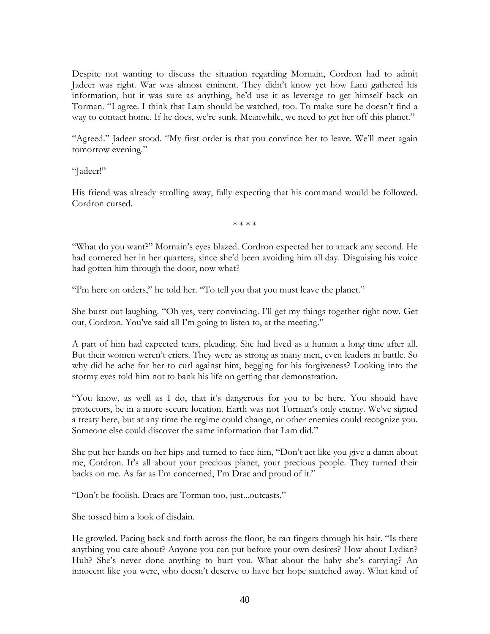Despite not wanting to discuss the situation regarding Mornain, Cordron had to admit Jadeer was right. War was almost eminent. They didn't know yet how Lam gathered his information, but it was sure as anything, he'd use it as leverage to get himself back on Torman. "I agree. I think that Lam should be watched, too. To make sure he doesn't find a way to contact home. If he does, we're sunk. Meanwhile, we need to get her off this planet."

"Agreed." Jadeer stood. "My first order is that you convince her to leave. We'll meet again tomorrow evening."

"Jadeer!"

His friend was already strolling away, fully expecting that his command would be followed. Cordron cursed.

\* \* \* \*

"What do you want?" Mornain's eyes blazed. Cordron expected her to attack any second. He had cornered her in her quarters, since she'd been avoiding him all day. Disguising his voice had gotten him through the door, now what?

"I'm here on orders," he told her. "To tell you that you must leave the planet."

She burst out laughing. "Oh yes, very convincing. I'll get my things together right now. Get out, Cordron. You've said all I'm going to listen to, at the meeting."

A part of him had expected tears, pleading. She had lived as a human a long time after all. But their women weren't criers. They were as strong as many men, even leaders in battle. So why did he ache for her to curl against him, begging for his forgiveness? Looking into the stormy eyes told him not to bank his life on getting that demonstration.

"You know, as well as I do, that it's dangerous for you to be here. You should have protectors, be in a more secure location. Earth was not Torman's only enemy. We've signed a treaty here, but at any time the regime could change, or other enemies could recognize you. Someone else could discover the same information that Lam did."

She put her hands on her hips and turned to face him, "Don't act like you give a damn about me, Cordron. It's all about your precious planet, your precious people. They turned their backs on me. As far as I'm concerned, I'm Drac and proud of it."

"Don't be foolish. Dracs are Torman too, just...outcasts."

She tossed him a look of disdain.

He growled. Pacing back and forth across the floor, he ran fingers through his hair. "Is there anything you care about? Anyone you can put before your own desires? How about Lydian? Huh? She's never done anything to hurt you. What about the baby she's carrying? An innocent like you were, who doesn't deserve to have her hope snatched away. What kind of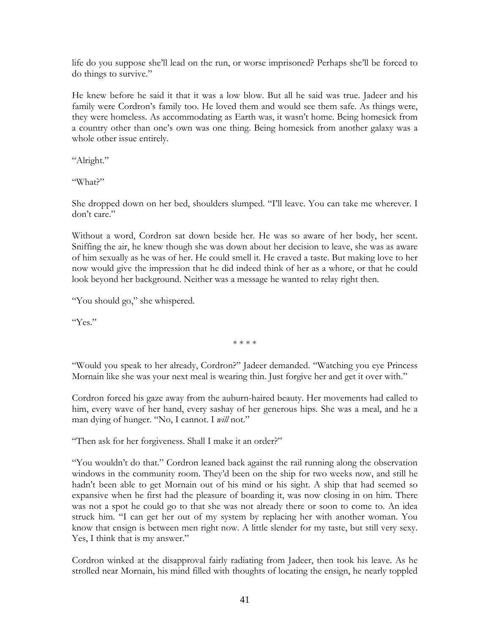life do you suppose she'll lead on the run, or worse imprisoned? Perhaps she'll be forced to do things to survive."

He knew before he said it that it was a low blow. But all he said was true. Jadeer and his family were Cordron's family too. He loved them and would see them safe. As things were, they were homeless. As accommodating as Earth was, it wasn't home. Being homesick from a country other than one's own was one thing. Being homesick from another galaxy was a whole other issue entirely.

"Alright."

"What?"

She dropped down on her bed, shoulders slumped. "I'll leave. You can take me wherever. I don't care."

Without a word, Cordron sat down beside her. He was so aware of her body, her scent. Sniffing the air, he knew though she was down about her decision to leave, she was as aware of him sexually as he was of her. He could smell it. He craved a taste. But making love to her now would give the impression that he did indeed think of her as a whore, or that he could look beyond her background. Neither was a message he wanted to relay right then.

"You should go," she whispered.

"Yes."

\* \* \* \*

"Would you speak to her already, Cordron?" Jadeer demanded. "Watching you eye Princess Mornain like she was your next meal is wearing thin. Just forgive her and get it over with."

Cordron forced his gaze away from the auburn-haired beauty. Her movements had called to him, every wave of her hand, every sashay of her generous hips. She was a meal, and he a man dying of hunger. "No, I cannot. I *will* not."

"Then ask for her forgiveness. Shall I make it an order?"

"You wouldn't do that." Cordron leaned back against the rail running along the observation windows in the community room. They'd been on the ship for two weeks now, and still he hadn't been able to get Mornain out of his mind or his sight. A ship that had seemed so expansive when he first had the pleasure of boarding it, was now closing in on him. There was not a spot he could go to that she was not already there or soon to come to. An idea struck him. "I can get her out of my system by replacing her with another woman. You know that ensign is between men right now. A little slender for my taste, but still very sexy. Yes, I think that is my answer."

Cordron winked at the disapproval fairly radiating from Jadeer, then took his leave. As he strolled near Mornain, his mind filled with thoughts of locating the ensign, he nearly toppled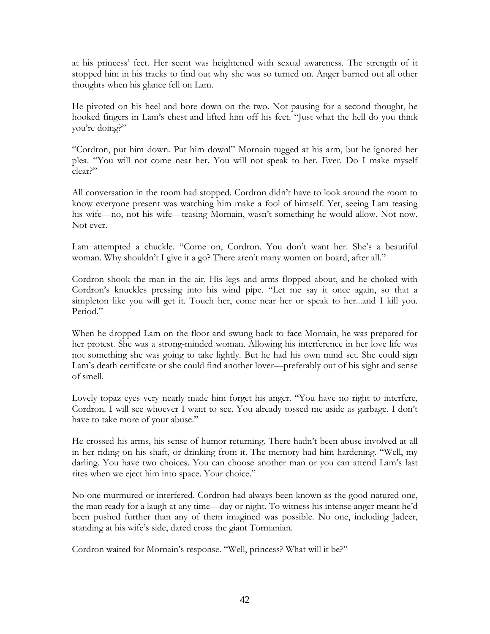at his princess' feet. Her scent was heightened with sexual awareness. The strength of it stopped him in his tracks to find out why she was so turned on. Anger burned out all other thoughts when his glance fell on Lam.

He pivoted on his heel and bore down on the two. Not pausing for a second thought, he hooked fingers in Lam's chest and lifted him off his feet. "Just what the hell do you think you're doing?"

"Cordron, put him down. Put him down!" Mornain tugged at his arm, but he ignored her plea. "You will not come near her. You will not speak to her. Ever. Do I make myself clear?"

All conversation in the room had stopped. Cordron didn't have to look around the room to know everyone present was watching him make a fool of himself. Yet, seeing Lam teasing his wife—no, not his wife—teasing Mornain, wasn't something he would allow. Not now. Not ever.

Lam attempted a chuckle. "Come on, Cordron. You don't want her. She's a beautiful woman. Why shouldn't I give it a go? There aren't many women on board, after all."

Cordron shook the man in the air. His legs and arms flopped about, and he choked with Cordron's knuckles pressing into his wind pipe. "Let me say it once again, so that a simpleton like you will get it. Touch her, come near her or speak to her...and I kill you. Period."

When he dropped Lam on the floor and swung back to face Mornain, he was prepared for her protest. She was a strong-minded woman. Allowing his interference in her love life was not something she was going to take lightly. But he had his own mind set. She could sign Lam's death certificate or she could find another lover—preferably out of his sight and sense of smell.

Lovely topaz eyes very nearly made him forget his anger. "You have no right to interfere, Cordron. I will see whoever I want to see. You already tossed me aside as garbage. I don't have to take more of your abuse."

He crossed his arms, his sense of humor returning. There hadn't been abuse involved at all in her riding on his shaft, or drinking from it. The memory had him hardening. "Well, my darling. You have two choices. You can choose another man or you can attend Lam's last rites when we eject him into space. Your choice."

No one murmured or interfered. Cordron had always been known as the good-natured one, the man ready for a laugh at any time—day or night. To witness his intense anger meant he'd been pushed further than any of them imagined was possible. No one, including Jadeer, standing at his wife's side, dared cross the giant Tormanian.

Cordron waited for Mornain's response. "Well, princess? What will it be?"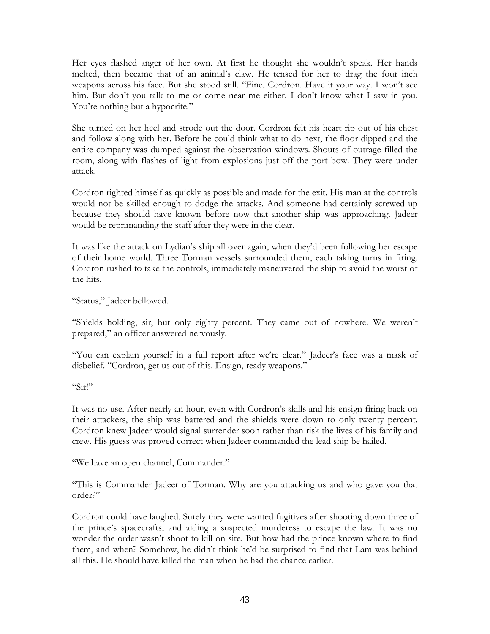Her eyes flashed anger of her own. At first he thought she wouldn't speak. Her hands melted, then became that of an animal's claw. He tensed for her to drag the four inch weapons across his face. But she stood still. "Fine, Cordron. Have it your way. I won't see him. But don't you talk to me or come near me either. I don't know what I saw in you. You're nothing but a hypocrite."

She turned on her heel and strode out the door. Cordron felt his heart rip out of his chest and follow along with her. Before he could think what to do next, the floor dipped and the entire company was dumped against the observation windows. Shouts of outrage filled the room, along with flashes of light from explosions just off the port bow. They were under attack.

Cordron righted himself as quickly as possible and made for the exit. His man at the controls would not be skilled enough to dodge the attacks. And someone had certainly screwed up because they should have known before now that another ship was approaching. Jadeer would be reprimanding the staff after they were in the clear.

It was like the attack on Lydian's ship all over again, when they'd been following her escape of their home world. Three Torman vessels surrounded them, each taking turns in firing. Cordron rushed to take the controls, immediately maneuvered the ship to avoid the worst of the hits.

"Status," Jadeer bellowed.

"Shields holding, sir, but only eighty percent. They came out of nowhere. We weren't prepared," an officer answered nervously.

"You can explain yourself in a full report after we're clear." Jadeer's face was a mask of disbelief. "Cordron, get us out of this. Ensign, ready weapons."

"Sir!"

It was no use. After nearly an hour, even with Cordron's skills and his ensign firing back on their attackers, the ship was battered and the shields were down to only twenty percent. Cordron knew Jadeer would signal surrender soon rather than risk the lives of his family and crew. His guess was proved correct when Jadeer commanded the lead ship be hailed.

"We have an open channel, Commander."

"This is Commander Jadeer of Torman. Why are you attacking us and who gave you that order?"

Cordron could have laughed. Surely they were wanted fugitives after shooting down three of the prince's spacecrafts, and aiding a suspected murderess to escape the law. It was no wonder the order wasn't shoot to kill on site. But how had the prince known where to find them, and when? Somehow, he didn't think he'd be surprised to find that Lam was behind all this. He should have killed the man when he had the chance earlier.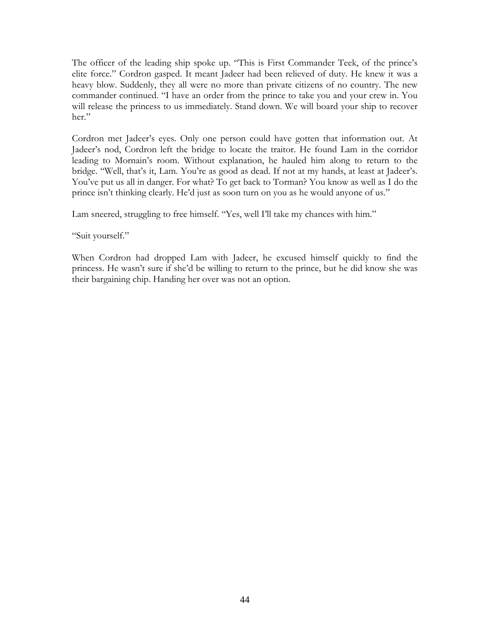The officer of the leading ship spoke up. "This is First Commander Teek, of the prince's elite force." Cordron gasped. It meant Jadeer had been relieved of duty. He knew it was a heavy blow. Suddenly, they all were no more than private citizens of no country. The new commander continued. "I have an order from the prince to take you and your crew in. You will release the princess to us immediately. Stand down. We will board your ship to recover her."

Cordron met Jadeer's eyes. Only one person could have gotten that information out. At Jadeer's nod, Cordron left the bridge to locate the traitor. He found Lam in the corridor leading to Mornain's room. Without explanation, he hauled him along to return to the bridge. "Well, that's it, Lam. You're as good as dead. If not at my hands, at least at Jadeer's. You've put us all in danger. For what? To get back to Torman? You know as well as I do the prince isn't thinking clearly. He'd just as soon turn on you as he would anyone of us."

Lam sneered, struggling to free himself. "Yes, well I'll take my chances with him."

"Suit yourself."

When Cordron had dropped Lam with Jadeer, he excused himself quickly to find the princess. He wasn't sure if she'd be willing to return to the prince, but he did know she was their bargaining chip. Handing her over was not an option.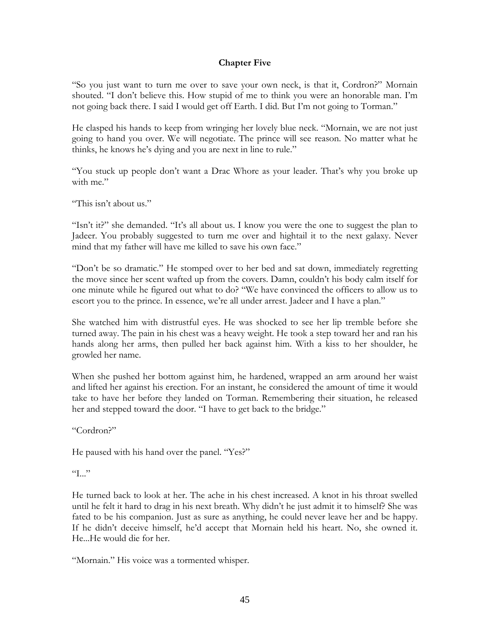#### **Chapter Five**

"So you just want to turn me over to save your own neck, is that it, Cordron?" Mornain shouted. "I don't believe this. How stupid of me to think you were an honorable man. I'm not going back there. I said I would get off Earth. I did. But I'm not going to Torman."

He clasped his hands to keep from wringing her lovely blue neck. "Mornain, we are not just going to hand you over. We will negotiate. The prince will see reason. No matter what he thinks, he knows he's dying and you are next in line to rule."

"You stuck up people don't want a Drac Whore as your leader. That's why you broke up with me."

"This isn't about us."

"Isn't it?" she demanded. "It's all about us. I know you were the one to suggest the plan to Jadeer. You probably suggested to turn me over and hightail it to the next galaxy. Never mind that my father will have me killed to save his own face."

"Don't be so dramatic." He stomped over to her bed and sat down, immediately regretting the move since her scent wafted up from the covers. Damn, couldn't his body calm itself for one minute while he figured out what to do? "We have convinced the officers to allow us to escort you to the prince. In essence, we're all under arrest. Jadeer and I have a plan."

She watched him with distrustful eyes. He was shocked to see her lip tremble before she turned away. The pain in his chest was a heavy weight. He took a step toward her and ran his hands along her arms, then pulled her back against him. With a kiss to her shoulder, he growled her name.

When she pushed her bottom against him, he hardened, wrapped an arm around her waist and lifted her against his erection. For an instant, he considered the amount of time it would take to have her before they landed on Torman. Remembering their situation, he released her and stepped toward the door. "I have to get back to the bridge."

"Cordron?"

He paused with his hand over the panel. "Yes?"

 $T_{\cdots}$ 

He turned back to look at her. The ache in his chest increased. A knot in his throat swelled until he felt it hard to drag in his next breath. Why didn't he just admit it to himself? She was fated to be his companion. Just as sure as anything, he could never leave her and be happy. If he didn't deceive himself, he'd accept that Mornain held his heart. No, she owned it. He...He would die for her.

"Mornain." His voice was a tormented whisper.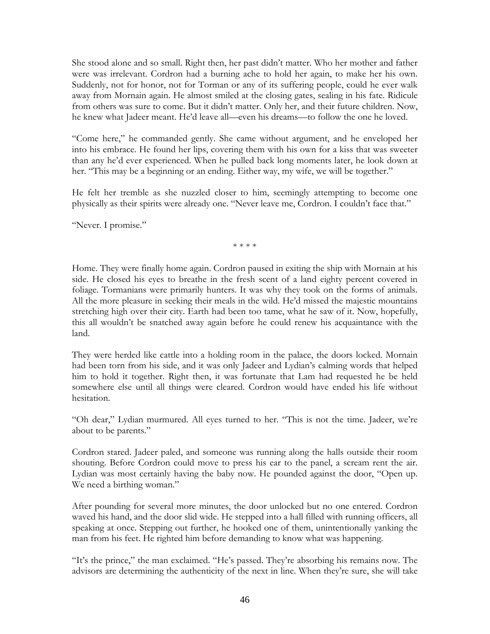She stood alone and so small. Right then, her past didn't matter. Who her mother and father were was irrelevant. Cordron had a burning ache to hold her again, to make her his own. Suddenly, not for honor, not for Torman or any of its suffering people, could he ever walk away from Mornain again. He almost smiled at the closing gates, sealing in his fate. Ridicule from others was sure to come. But it didn't matter. Only her, and their future children. Now, he knew what Jadeer meant. He'd leave all—even his dreams—to follow the one he loved.

"Come here," he commanded gently. She came without argument, and he enveloped her into his embrace. He found her lips, covering them with his own for a kiss that was sweeter than any he'd ever experienced. When he pulled back long moments later, he look down at her. "This may be a beginning or an ending. Either way, my wife, we will be together."

He felt her tremble as she nuzzled closer to him, seemingly attempting to become one physically as their spirits were already one. "Never leave me, Cordron. I couldn't face that."

"Never. I promise."

\* \* \* \*

Home. They were finally home again. Cordron paused in exiting the ship with Mornain at his side. He closed his eyes to breathe in the fresh scent of a land eighty percent covered in foliage. Tormanians were primarily hunters. It was why they took on the forms of animals. All the more pleasure in seeking their meals in the wild. He'd missed the majestic mountains stretching high over their city. Earth had been too tame, what he saw of it. Now, hopefully, this all wouldn't be snatched away again before he could renew his acquaintance with the land.

They were herded like cattle into a holding room in the palace, the doors locked. Mornain had been torn from his side, and it was only Jadeer and Lydian's calming words that helped him to hold it together. Right then, it was fortunate that Lam had requested he be held somewhere else until all things were cleared. Cordron would have ended his life without hesitation.

"Oh dear," Lydian murmured. All eyes turned to her. "This is not the time. Jadeer, we're about to be parents."

Cordron stared. Jadeer paled, and someone was running along the halls outside their room shouting. Before Cordron could move to press his ear to the panel, a scream rent the air. Lydian was most certainly having the baby now. He pounded against the door, "Open up. We need a birthing woman."

After pounding for several more minutes, the door unlocked but no one entered. Cordron waved his hand, and the door slid wide. He stepped into a hall filled with running officers, all speaking at once. Stepping out further, he hooked one of them, unintentionally yanking the man from his feet. He righted him before demanding to know what was happening.

"It's the prince," the man exclaimed. "He's passed. They're absorbing his remains now. The advisors are determining the authenticity of the next in line. When they're sure, she will take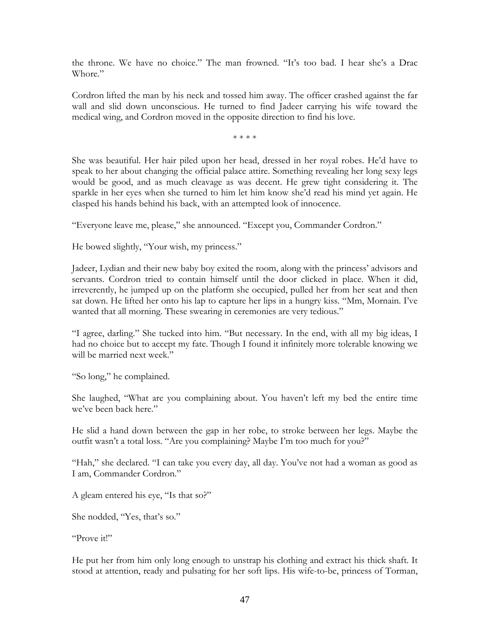the throne. We have no choice." The man frowned. "It's too bad. I hear she's a Drac Whore."

Cordron lifted the man by his neck and tossed him away. The officer crashed against the far wall and slid down unconscious. He turned to find Jadeer carrying his wife toward the medical wing, and Cordron moved in the opposite direction to find his love.

\* \* \* \*

She was beautiful. Her hair piled upon her head, dressed in her royal robes. He'd have to speak to her about changing the official palace attire. Something revealing her long sexy legs would be good, and as much cleavage as was decent. He grew tight considering it. The sparkle in her eyes when she turned to him let him know she'd read his mind yet again. He clasped his hands behind his back, with an attempted look of innocence.

"Everyone leave me, please," she announced. "Except you, Commander Cordron."

He bowed slightly, "Your wish, my princess."

Jadeer, Lydian and their new baby boy exited the room, along with the princess' advisors and servants. Cordron tried to contain himself until the door clicked in place. When it did, irreverently, he jumped up on the platform she occupied, pulled her from her seat and then sat down. He lifted her onto his lap to capture her lips in a hungry kiss. "Mm, Mornain. I've wanted that all morning. These swearing in ceremonies are very tedious."

"I agree, darling." She tucked into him. "But necessary. In the end, with all my big ideas, I had no choice but to accept my fate. Though I found it infinitely more tolerable knowing we will be married next week."

"So long," he complained.

She laughed, "What are you complaining about. You haven't left my bed the entire time we've been back here."

He slid a hand down between the gap in her robe, to stroke between her legs. Maybe the outfit wasn't a total loss. "Are you complaining? Maybe I'm too much for you?"

"Hah," she declared. "I can take you every day, all day. You've not had a woman as good as I am, Commander Cordron."

A gleam entered his eye, "Is that so?"

She nodded, "Yes, that's so."

"Prove it!"

He put her from him only long enough to unstrap his clothing and extract his thick shaft. It stood at attention, ready and pulsating for her soft lips. His wife-to-be, princess of Torman,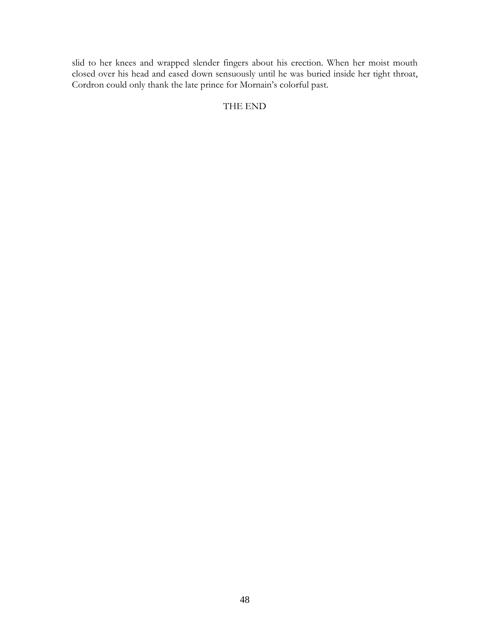slid to her knees and wrapped slender fingers about his erection. When her moist mouth closed over his head and eased down sensuously until he was buried inside her tight throat, Cordron could only thank the late prince for Mornain's colorful past.

## THE END